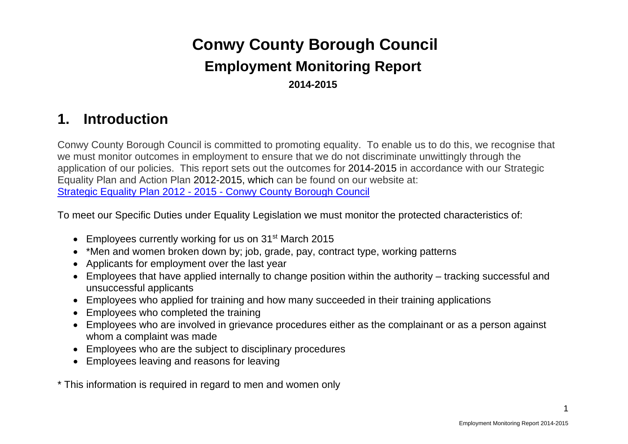# **Conwy County Borough Council Employment Monitoring Report 2014-2015**

# **1. Introduction**

Conwy County Borough Council is committed to promoting equality. To enable us to do this, we recognise that we must monitor outcomes in employment to ensure that we do not discriminate unwittingly through the application of our policies. This report sets out the outcomes for 2014-2015 in accordance with our Strategic Equality Plan and Action Plan 2012-2015, which can be found on our website at: Strategic Equality Plan 2012 - 2015 - Conwy County Borough Council

To meet our Specific Duties under Equality Legislation we must monitor the protected characteristics of:

- Employees currently working for us on 31<sup>st</sup> March 2015
- \*Men and women broken down by; job, grade, pay, contract type, working patterns
- Applicants for employment over the last year
- Employees that have applied internally to change position within the authority tracking successful and unsuccessful applicants
- Employees who applied for training and how many succeeded in their training applications
- Employees who completed the training
- Employees who are involved in grievance procedures either as the complainant or as a person against whom a complaint was made
- Employees who are the subject to disciplinary procedures
- Employees leaving and reasons for leaving

\* This information is required in regard to men and women only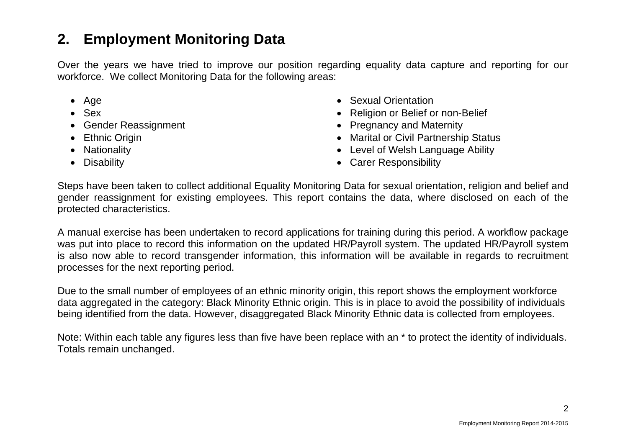# **2. Employment Monitoring Data**

Over the years we have tried to improve our position regarding equality data capture and reporting for our workforce. We collect Monitoring Data for the following areas:

- Age
- Sex
- Gender Reassignment
- Ethnic Origin
- Nationality
- Disability
- Sexual Orientation
- Religion or Belief or non-Belief
- Pregnancy and Maternity
- Marital or Civil Partnership Status
- Level of Welsh Language Ability
- Carer Responsibility

Steps have been taken to collect additional Equality Monitoring Data for sexual orientation, religion and belief and gender reassignment for existing employees. This report contains the data, where disclosed on each of the protected characteristics.

A manual exercise has been undertaken to record applications for training during this period. A workflow package was put into place to record this information on the updated HR/Payroll system. The updated HR/Payroll system is also now able to record transgender information, this information will be available in regards to recruitment processes for the next reporting period.

Due to the small number of employees of an ethnic minority origin, this report shows the employment workforce data aggregated in the category: Black Minority Ethnic origin. This is in place to avoid the possibility of individuals being identified from the data. However, disaggregated Black Minority Ethnic data is collected from employees.

Note: Within each table any figures less than five have been replace with an \* to protect the identity of individuals. Totals remain unchanged.

 $\mathfrak{D}$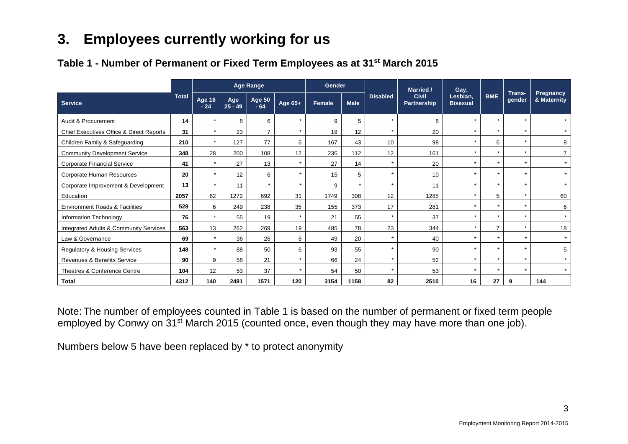# **3. Employees currently working for us**

## **Table 1 - Number of Permanent or Fixed Term Employees as at 31st March 2015**

|                                           |              |                        |                  | <b>Age Range</b>       |         | Gender |             |                 | <b>Married /</b>                   | Gay,                        |                |                  |                          |
|-------------------------------------------|--------------|------------------------|------------------|------------------------|---------|--------|-------------|-----------------|------------------------------------|-----------------------------|----------------|------------------|--------------------------|
| <b>Service</b>                            | <b>Total</b> | <b>Age 16</b><br>$-24$ | Age<br>$25 - 49$ | <b>Age 50</b><br>$-64$ | Age 65+ | Female | <b>Male</b> | <b>Disabled</b> | <b>Civil</b><br><b>Partnership</b> | Lesbian,<br><b>Bisexual</b> | <b>BME</b>     | Trans-<br>gender | Pregnancy<br>& Maternity |
| Audit & Procurement                       | 14           |                        | 8                | 6                      | $\star$ | 9      | 5           | $\star$         | 8                                  |                             | $\star$        | $\star$          |                          |
| Chief Executives Office & Direct Reports  | 31           |                        | 23               | $\overline{7}$         | $\star$ | 19     | 12          | $\star$         | 20                                 | $\star$                     | $\star$        | $\star$          | $\star$                  |
| Children Family & Safeguarding            | 210          |                        | 127              | 77                     | 6       | 167    | 43          | 10              | 98                                 | $\star$                     | 6              | $\star$          | 8                        |
| <b>Community Development Service</b>      | 348          | 28                     | 200              | 108                    | 12      | 236    | 112         | 12              | 161                                |                             | $\star$        | $\star$          | $\overline{7}$           |
| <b>Corporate Financial Service</b>        | 41           |                        | 27               | 13                     | $\star$ | 27     | 14          | $\star$         | 20                                 | $\bullet$                   | $\star$        | $\star$          | $\star$                  |
| Corporate Human Resources                 | 20           |                        | 12               | 6                      | $\star$ | 15     | 5           | $\star$         | 10                                 | $\star$                     | $\star$        | $\star$          | $\star$                  |
| Corporate Improvement & Development       | 13           |                        | 11               | $\star$                | $\star$ | 9      | $\star$     | $\star$         | 11                                 | $\star$                     | $\star$        | $\star$          | $\star$                  |
| Education                                 | 2057         | 62                     | 1272             | 692                    | 31      | 1749   | 308         | 12              | 1285                               | $\star$                     | 5              | $\star$          | 60                       |
| <b>Environment Roads &amp; Facilities</b> | 528          | 6                      | 249              | 238                    | 35      | 155    | 373         | 17              | 281                                | $\star$                     | $\star$        | $\star$          | 6                        |
| Information Technology                    | 76           | $\star$                | 55               | 19                     | $\star$ | 21     | 55          | $\star$         | 37                                 | $\star$                     | $\star$        | $\star$          | $\star$                  |
| Integrated Adults & Community Services    | 563          | 13                     | 262              | 269                    | 19      | 485    | 78          | 23              | 344                                | $\star$                     | $\overline{7}$ | $\star$          | 18                       |
| Law & Governance                          | 69           |                        | 36               | 26                     | 6       | 49     | 20          | $\star$         | 40                                 | $\star$                     | $\star$        | $\star$          | $\star$                  |
| <b>Regulatory &amp; Housing Services</b>  | 148          | $\star$                | 88               | 50                     | 6       | 93     | 55          | $\star$         | 90                                 | $\star$                     | $\star$        | $\star$          | 5                        |
| Revenues & Benefits Service               | 90           | 9                      | 58               | 21                     | $\star$ | 66     | 24          | $\star$         | 52                                 | $\bullet$                   | $\star$        | $\star$          | $\star$                  |
| Theatres & Conference Centre              | 104          | 12                     | 53               | 37                     | $\star$ | 54     | 50          | $\star$         | 53                                 | $\star$                     | $\star$        | $\star$          | $\star$                  |
| Total                                     | 4312         | 140                    | 2481             | 1571                   | 120     | 3154   | 1158        | 82              | 2510                               | 16                          | 27             | 9                | 144                      |

Note: The number of employees counted in Table 1 is based on the number of permanent or fixed term people employed by Conwy on 31<sup>st</sup> March 2015 (counted once, even though they may have more than one job).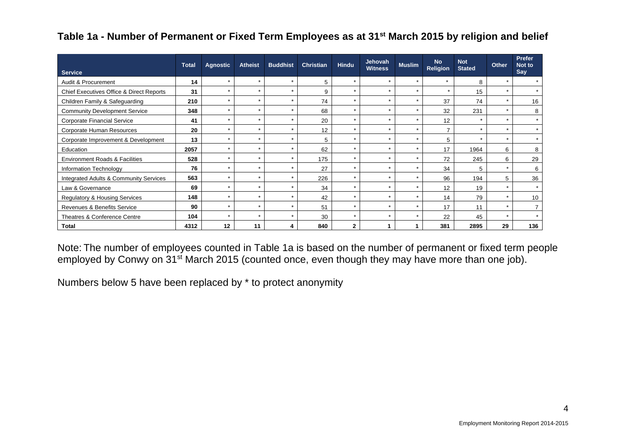#### **Table 1a - Number of Permanent or Fixed Term Employees as at 31st March 2015 by religion and belief**

| <b>Service</b>                            | <b>Total</b> | <b>Agnostic</b> | <b>Atheist</b> | <b>Buddhist</b> | <b>Christian</b> | <b>Hindu</b>   | Jehovah<br><b>Witness</b> | <b>Muslim</b> | <b>No</b><br><b>Religion</b> | <b>Not</b><br><b>Stated</b> | <b>Other</b> | <b>Prefer</b><br>Not to<br>Say |
|-------------------------------------------|--------------|-----------------|----------------|-----------------|------------------|----------------|---------------------------|---------------|------------------------------|-----------------------------|--------------|--------------------------------|
| Audit & Procurement                       | 14           | $\star$         |                | $\star$         | 5                |                | $\star$                   | $\star$       | $\star$                      | 8                           |              |                                |
| Chief Executives Office & Direct Reports  | 31           | $\star$         |                | $\star$         | 9                |                | $\star$                   | $\star$       | $\star$                      | 15                          |              |                                |
| Children Family & Safeguarding            | 210          | $\star$         |                | $\star$         | 74               | $\star$        | $\star$                   | $\star$       | 37                           | 74                          |              | 16                             |
| <b>Community Development Service</b>      | 348          | $\star$         | $\star$        | $\star$         | 68               | $\star$        | $\star$                   | $\star$       | 32                           | 231                         | $\star$      | 8                              |
| Corporate Financial Service               | 41           | $\star$         |                | $\star$         | 20               |                | $\star$                   |               | 12                           |                             |              |                                |
| Corporate Human Resources                 | 20           | $\star$         |                | $\star$         | 12               | $\star$        | $\star$                   | ٠             | $\overline{ }$               | $\star$                     | $\star$      |                                |
| Corporate Improvement & Development       | 13           | $\star$         |                | $\star$         | 5                |                | $\star$                   |               | 5                            | $\star$                     |              |                                |
| Education                                 | 2057         | $\star$         | $\star$        | $\star$         | 62               | $\star$        | $\star$                   | $\star$       | 17                           | 1964                        | 6            | 8                              |
| <b>Environment Roads &amp; Facilities</b> | 528          | $\star$         | $\star$        | $\star$         | 175              | $\star$        | $\star$                   | $\star$       | 72                           | 245                         | 6            | 29                             |
| Information Technology                    | 76           | $\star$         |                | $\star$         | 27               | ÷              | $\star$                   |               | 34                           | 5                           |              | 6                              |
| Integrated Adults & Community Services    | 563          | $\star$         |                | $\star$         | 226              | ÷              | $\star$                   |               | 96                           | 194                         | 5            | 36                             |
| Law & Governance                          | 69           | $\star$         |                | $\star$         | 34               | $\star$        | $\star$                   |               | 12                           | 19                          | $\star$      |                                |
| <b>Regulatory &amp; Housing Services</b>  | 148          | $\star$         | $\star$        | $\star$         | 42               | $\star$        | $\star$                   | $\star$       | 14                           | 79                          | $\star$      | 10                             |
| <b>Revenues &amp; Benefits Service</b>    | 90           | $\star$         | $\star$        | $\star$         | 51               | $\star$        | $\star$                   | $\star$       | 17                           | 11                          | $\star$      |                                |
| Theatres & Conference Centre              | 104          | $\star$         | $\star$        | $\star$         | 30               | $\star$        | $\star$                   | $\star$       | 22                           | 45                          | $\star$      | $\star$                        |
| <b>Total</b>                              | 4312         | 12              | 11             | 4               | 840              | $\overline{2}$ |                           |               | 381                          | 2895                        | 29           | 136                            |

Note: The number of employees counted in Table 1a is based on the number of permanent or fixed term people employed by Conwy on 31<sup>st</sup> March 2015 (counted once, even though they may have more than one job).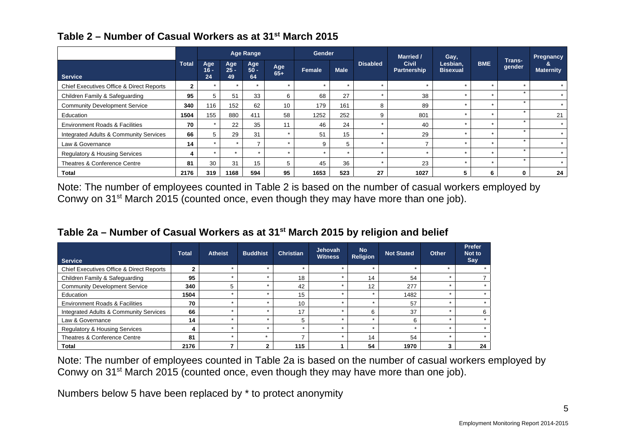|                                           |                |                     | Age Range           |                     | Gender       |        |             | Married /       | Gay,                        |                             |                      | Pregnancy        |                       |
|-------------------------------------------|----------------|---------------------|---------------------|---------------------|--------------|--------|-------------|-----------------|-----------------------------|-----------------------------|----------------------|------------------|-----------------------|
| <b>Service</b>                            | <b>Total</b>   | Age<br>$16 -$<br>24 | Age<br>$25 -$<br>49 | Age<br>$50 -$<br>64 | Age<br>$65+$ | Female | <b>Male</b> | <b>Disabled</b> | <b>Civil</b><br>Partnership | Lesbian,<br><b>Bisexual</b> | <b>BME</b>           | Trans-<br>gender | α<br><b>Maternity</b> |
| Chief Executives Office & Direct Reports  | $\overline{2}$ |                     |                     |                     |              |        | $\star$     | $\star$         |                             |                             | $\star$              | $\star$          |                       |
| Children Family & Safeguarding            | 95             | 5                   | 51                  | 33                  | 6            | 68     | 27          | $\star$         | 38                          |                             | ٠                    | $\star$          |                       |
| <b>Community Development Service</b>      | 340            | 116                 | 152                 | 62                  | 10           | 179    | 161         | 8               | 89                          |                             |                      | $\star$          |                       |
| Education                                 | 1504           | 155                 | 880                 | 411                 | 58           | 1252   | 252         | 9               | 801                         |                             |                      | $\star$          | 21                    |
| <b>Environment Roads &amp; Facilities</b> | 70             |                     | 22                  | 35                  |              | 46     | 24          |                 | 40                          |                             | $\star$              | $\star$          |                       |
| Integrated Adults & Community Services    | 66             | 5                   | 29                  | 31                  |              | 51     | 15          | $\star$         | 29                          |                             | $\star$              | $\rightarrow$    |                       |
| Law & Governance                          | 14             |                     |                     |                     |              | 9      | 5           |                 |                             |                             |                      | $\star$          |                       |
| <b>Regulatory &amp; Housing Services</b>  |                |                     |                     | $\star$             |              |        | $\star$     | $\star$         |                             |                             | $\ddot{\phantom{1}}$ | $\rightarrow$    |                       |
| Theatres & Conference Centre              | 81             | 30                  | 31                  | 15                  | 5            | 45     | 36          | $\star$         | 23                          |                             | $\rightarrow$        |                  |                       |
| <b>Total</b>                              | 2176           | 319                 | 1168                | 594                 | 95           | 1653   | 523         | 27              | 1027                        | 5                           | 6                    | 0                | 24                    |

#### **Table 2 – Number of Casual Workers as at 31st March 2015**

Note: The number of employees counted in Table 2 is based on the number of casual workers employed by Conwy on 31<sup>st</sup> March 2015 (counted once, even though they may have more than one job).

| Table 2a – Number of Casual Workers as at 31 <sup>st</sup> March 2015 by religion and belief |  |
|----------------------------------------------------------------------------------------------|--|
|----------------------------------------------------------------------------------------------|--|

| <b>Service</b>                            | <b>Total</b> | <b>Atheist</b> | <b>Buddhist</b> | <b>Christian</b> | <b>Jehovah</b><br><b>Witness</b> | <b>No</b><br><b>Religion</b> | <b>Not Stated</b> | Other | <b>Prefer</b><br>Not to<br>Say |
|-------------------------------------------|--------------|----------------|-----------------|------------------|----------------------------------|------------------------------|-------------------|-------|--------------------------------|
| Chief Executives Office & Direct Reports  | $\mathbf{2}$ | ÷              | $\star$         |                  |                                  |                              |                   |       |                                |
| Children Family & Safeguarding            | 95           | $\star$        | $\star$         | 18               |                                  | 14                           | 54                |       |                                |
| <b>Community Development Service</b>      | 340          | 5              | $\star$         | 42               |                                  | 12                           | 277               |       |                                |
| Education                                 | 1504         | $\star$        | $\star$         | 15               |                                  |                              | 1482              |       |                                |
| <b>Environment Roads &amp; Facilities</b> | 70           | $\star$        | $\star$         | 10               |                                  |                              | 57                |       |                                |
| Integrated Adults & Community Services    | 66           | $\star$        | $\star$         | 17               |                                  | 6                            | 37                |       | 6                              |
| Law & Governance                          | 14           | $\star$        | $\star$         | 5                |                                  |                              | 6                 |       |                                |
| Regulatory & Housing Services             | 4            | $\star$        | $\star$         |                  |                                  |                              |                   |       |                                |
| Theatres & Conference Centre              | 81           | $\star$        | $\star$         |                  |                                  | 14                           | 54                |       |                                |
| <b>Total</b>                              | 2176         |                | $\mathbf{2}$    | 115              |                                  | 54                           | 1970              | 3     | 24                             |

Note: The number of employees counted in Table 2a is based on the number of casual workers employed by Conwy on 31<sup>st</sup> March 2015 (counted once, even though they may have more than one job).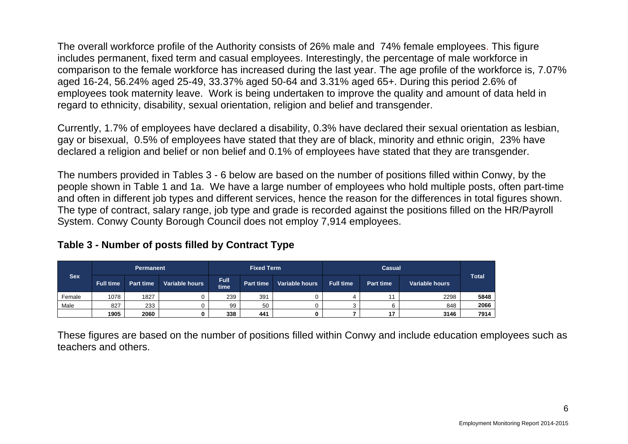The overall workforce profile of the Authority consists of 26% male and 74% female employees. This figure includes permanent, fixed term and casual employees. Interestingly, the percentage of male workforce in comparison to the female workforce has increased during the last year. The age profile of the workforce is, 7.07% aged 16-24, 56.24% aged 25-49, 33.37% aged 50-64 and 3.31% aged 65+. During this period 2.6% of employees took maternity leave. Work is being undertaken to improve the quality and amount of data held in regard to ethnicity, disability, sexual orientation, religion and belief and transgender.

Currently, 1.7% of employees have declared a disability, 0.3% have declared their sexual orientation as lesbian, gay or bisexual, 0.5% of employees have stated that they are of black, minority and ethnic origin, 23% have declared a religion and belief or non belief and 0.1% of employees have stated that they are transgender.

The numbers provided in Tables 3 - 6 below are based on the number of positions filled within Conwy, by the people shown in Table 1 and 1a. We have a large number of employees who hold multiple posts, often part-time and often in different job types and different services, hence the reason for the differences in total figures shown. The type of contract, salary range, job type and grade is recorded against the positions filled on the HR/Payroll System. Conwy County Borough Council does not employ 7,914 employees.

**Table 3 - Number of posts filled by Contract Type** 

|            | <b>Permanent</b> |                  |                |                     | <b>Fixed Term</b>                         |  |                  | Casual           |                |              |
|------------|------------------|------------------|----------------|---------------------|-------------------------------------------|--|------------------|------------------|----------------|--------------|
| <b>Sex</b> | <b>Full time</b> | <b>Part time</b> | Variable hours | <b>Full</b><br>time | <b>Variable hours</b><br><b>Part time</b> |  | <b>Full time</b> | <b>Part time</b> | Variable hours | <b>Total</b> |
| Female     | 1078             | 1827             |                | 239                 | 391                                       |  |                  |                  | 2298           | 5848         |
| Male       | 827              | 233              |                | 99                  | 50                                        |  |                  |                  | 848            | 2066         |
|            | 1905             | 2060             |                | 338                 | 441                                       |  |                  | 47               | 3146           | 7914         |

These figures are based on the number of positions filled within Conwy and include education employees such as teachers and others.

6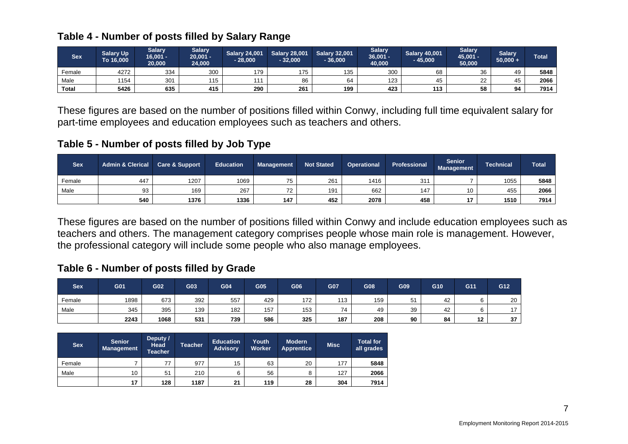#### **Table 4 - Number of posts filled by Salary Range**

| <b>Sex</b> | <b>Salary Up</b><br>To 16,000 | <b>Salary</b><br>16.001 -<br>20,000 | <b>Salary</b><br>$20,001 -$<br>24,000 | <b>Salary 24,001</b><br>$-28,000$ | <b>Salary 28,001</b><br>$-32,000$ | <b>Salary 32,001</b><br>$-36,000$ | <b>Salary</b><br>36,001 -<br>40,000 | <b>Salary 40,001</b><br>$-45,000$ | <b>Salary</b><br>45,001 -<br>50,000 | <b>Salary</b><br>$50,000 +$ | <b>Total</b> |
|------------|-------------------------------|-------------------------------------|---------------------------------------|-----------------------------------|-----------------------------------|-----------------------------------|-------------------------------------|-----------------------------------|-------------------------------------|-----------------------------|--------------|
| Female     | 4272                          | 334                                 | 300                                   | 179                               | 175                               | 135                               | 300                                 | 68                                | 36                                  | 49                          | 5848         |
| Male       | 1154                          | 301                                 | 115                                   | 111                               | 86                                | 64                                | 123                                 | 45                                | 22                                  | 45                          | 2066         |
| Total      | 5426                          | 635                                 | 415                                   | 290                               | 261                               | 199                               | 423                                 | 113                               | 58                                  | 94                          | 7914         |

These figures are based on the number of positions filled within Conwy, including full time equivalent salary for part-time employees and education employees such as teachers and others.

### **Table 5 - Number of posts filled by Job Type**

| <b>Sex</b> | <b>Admin &amp; Clerical</b> | <b>Care &amp; Support</b> | <b>Education</b> | <b>Management</b> | <b>Not Stated</b> | <b>Operational</b> | <b>Professional</b> | <b>Senior</b><br><b>Management</b> | <b>Technical</b> | <b>Total</b> |
|------------|-----------------------------|---------------------------|------------------|-------------------|-------------------|--------------------|---------------------|------------------------------------|------------------|--------------|
| Female     | 447                         | 1207                      | 1069             | 75                | 261               | 1416               | 311                 |                                    | 1055             | 5848         |
| Male       | 93                          | 169                       | 267              | 70                | 191               | 662                | 147                 | 10                                 | 455              | 2066         |
|            | 540                         | 1376                      | 1336             | 147               | 452               | 2078               | 458                 | 47                                 | 1510             | 7914         |

These figures are based on the number of positions filled within Conwy and include education employees such as teachers and others. The management category comprises people whose main role is management. However, the professional category will include some people who also manage employees.

### **Table 6 - Number of posts filled by Grade**

| Sex    | G01  | G <sub>02</sub> | G03 | G04 | G05 | G06 | <b>G07</b> | G08 | G09 | G10 | G11                  | G12 |
|--------|------|-----------------|-----|-----|-----|-----|------------|-----|-----|-----|----------------------|-----|
| Female | 1898 | 673             | 392 | 557 | 429 | 172 | 113        | 159 | ັ   | 42  |                      | 20  |
| Male   | 345  | 395             | 139 | 182 | 157 | 153 | 74         | 49  | 39  | 42  |                      | 17  |
|        | 2243 | 1068            | 531 | 739 | 586 | 325 | 187        | 208 | 90  | 84  | $\overline{a}$<br>'' | 37  |

| <b>Sex</b> | <b>Senior</b><br><b>Management</b> | Deputy /<br><b>Head</b><br><b>Teacher</b> | <b>Teacher</b> | <b>Education</b><br><b>Advisory</b> | Youth<br><b>Worker</b> | <b>Modern</b><br><b>Apprentice</b> | <b>Misc</b> | <b>Total for</b><br>all grades |
|------------|------------------------------------|-------------------------------------------|----------------|-------------------------------------|------------------------|------------------------------------|-------------|--------------------------------|
| Female     |                                    | 77                                        | 977            | 15                                  | 63                     | 20                                 | 177         | 5848                           |
| Male       | 10 <sup>°</sup>                    | 51                                        | 210            | 6                                   | 56                     | 8                                  | 127         | 2066                           |
|            | 17                                 | 128                                       | 1187           | 21                                  | 119                    | 28                                 | 304         | 7914                           |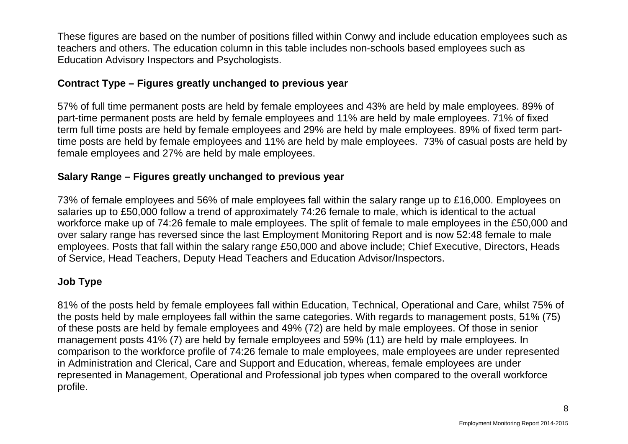These figures are based on the number of positions filled within Conwy and include education employees such as teachers and others. The education column in this table includes non-schools based employees such as Education Advisory Inspectors and Psychologists.

## **Contract Type – Figures greatly unchanged to previous year**

57% of full time permanent posts are held by female employees and 43% are held by male employees. 89% of part-time permanent posts are held by female employees and 11% are held by male employees. 71% of fixed term full time posts are held by female employees and 29% are held by male employees. 89% of fixed term parttime posts are held by female employees and 11% are held by male employees. 73% of casual posts are held by female employees and 27% are held by male employees.

### **Salary Range – Figures greatly unchanged to previous year**

73% of female employees and 56% of male employees fall within the salary range up to £16,000. Employees on salaries up to £50,000 follow a trend of approximately 74:26 female to male, which is identical to the actual workforce make up of 74:26 female to male employees. The split of female to male employees in the £50,000 and over salary range has reversed since the last Employment Monitoring Report and is now 52:48 female to male employees. Posts that fall within the salary range £50,000 and above include; Chief Executive, Directors, Heads of Service, Head Teachers, Deputy Head Teachers and Education Advisor/Inspectors.

## **Job Type**

81% of the posts held by female employees fall within Education, Technical, Operational and Care, whilst 75% of the posts held by male employees fall within the same categories. With regards to management posts, 51% (75) of these posts are held by female employees and 49% (72) are held by male employees. Of those in senior management posts 41% (7) are held by female employees and 59% (11) are held by male employees. In comparison to the workforce profile of 74:26 female to male employees, male employees are under represented in Administration and Clerical, Care and Support and Education, whereas, female employees are under represented in Management, Operational and Professional job types when compared to the overall workforce profile.

8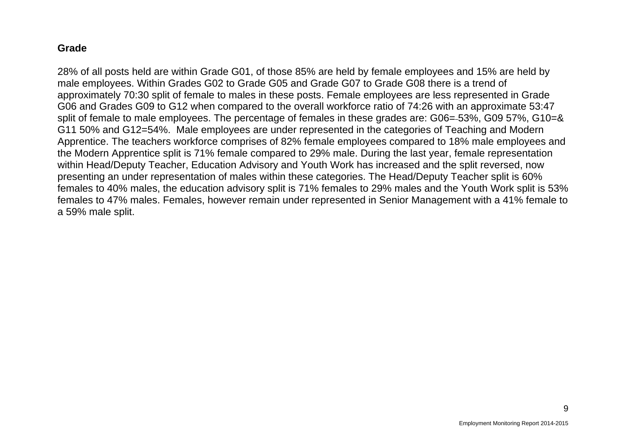### **Grade**

28% of all posts held are within Grade G01, of those 85% are held by female employees and 15% are held by male employees. Within Grades G02 to Grade G05 and Grade G07 to Grade G08 there is a trend of approximately 70:30 split of female to males in these posts. Female employees are less represented in Grade G06 and Grades G09 to G12 when compared to the overall workforce ratio of 74:26 with an approximate 53:47 split of female to male employees. The percentage of females in these grades are: G06=-53%, G09 57%, G10=& G11 50% and G12=54%. Male employees are under represented in the categories of Teaching and Modern Apprentice. The teachers workforce comprises of 82% female employees compared to 18% male employees and the Modern Apprentice split is 71% female compared to 29% male. During the last year, female representation within Head/Deputy Teacher, Education Advisory and Youth Work has increased and the split reversed, now presenting an under representation of males within these categories. The Head/Deputy Teacher split is 60% females to 40% males, the education advisory split is 71% females to 29% males and the Youth Work split is 53% females to 47% males. Females, however remain under represented in Senior Management with a 41% female to a 59% male split.

9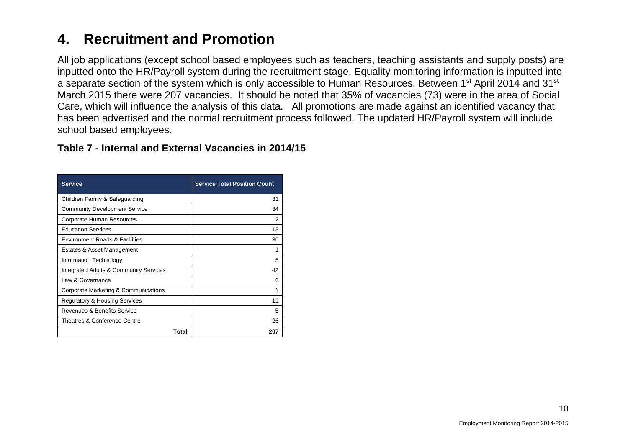#### **4.Recruitment and Promotion**

All job applications (except school based employees such as teachers, teaching assistants and supply posts) are inputted onto the HR/Payroll system during the recruitment stage. Equality monitoring information is inputted into a separate section of the system which is only accessible to Human Resources. Between 1<sup>st</sup> April 2014 and 31<sup>st</sup> March 2015 there were 207 vacancies. It should be noted that 35% of vacancies (73) were in the area of Social Care, which will influence the analysis of this data. All promotions are made against an identified vacancy that has been advertised and the normal recruitment process followed. The updated HR/Payroll system will include school based employees.

| Table 7 - Internal and External Vacancies in 2014/15 |  |
|------------------------------------------------------|--|
|------------------------------------------------------|--|

| <b>Service</b>                                    | <b>Service Total Position Count</b> |
|---------------------------------------------------|-------------------------------------|
| Children Family & Safeguarding                    | 31                                  |
| <b>Community Development Service</b>              | 34                                  |
| Corporate Human Resources                         | $\overline{2}$                      |
| <b>Education Services</b>                         | 13                                  |
| <b>Environment Roads &amp; Facilities</b>         | 30                                  |
| Estates & Asset Management                        | 1                                   |
| Information Technology                            | 5                                   |
| <b>Integrated Adults &amp; Community Services</b> | 42                                  |
| Law & Governance                                  | 6                                   |
| Corporate Marketing & Communications              | 1                                   |
| <b>Regulatory &amp; Housing Services</b>          | 11                                  |
| Revenues & Benefits Service                       | 5                                   |
| Theatres & Conference Centre                      | 26                                  |
| Total                                             | 207                                 |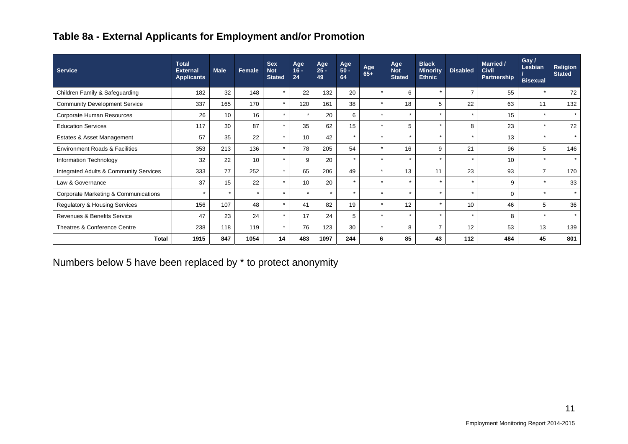# **Table 8a - External Applicants for Employment and/or Promotion**

| <b>Service</b>                            | <b>Total</b><br><b>External</b><br><b>Applicants</b> | <b>Male</b> | Female  | <b>Sex</b><br><b>Not</b><br><b>Stated</b> | Age<br>$16 -$<br>24 | Age<br>$25 -$<br>49 | Age<br>$50 -$<br>64 | Age<br>$65+$ | Age<br><b>Not</b><br><b>Stated</b> | <b>Black</b><br><b>Minority</b><br><b>Ethnic</b> | <b>Disabled</b> | Married /<br><b>Civil</b><br>Partnership | Gay /<br>Lesbian<br><b>Bisexual</b> | <b>Religion</b><br><b>Stated</b> |
|-------------------------------------------|------------------------------------------------------|-------------|---------|-------------------------------------------|---------------------|---------------------|---------------------|--------------|------------------------------------|--------------------------------------------------|-----------------|------------------------------------------|-------------------------------------|----------------------------------|
| Children Family & Safeguarding            | 182                                                  | 32          | 148     | $\star$                                   | 22                  | 132                 | 20                  | $\star$      | 6                                  | $\star$                                          | $\overline{7}$  | 55                                       | $\star$                             | 72                               |
| <b>Community Development Service</b>      | 337                                                  | 165         | 170     | $\star$                                   | 120                 | 161                 | 38                  | $\star$      | 18                                 | 5                                                | 22              | 63                                       | 11                                  | 132                              |
| Corporate Human Resources                 | 26                                                   | 10          | 16      | $\star$                                   |                     | 20                  | 6                   | $\star$      | $\star$                            | $\star$                                          | $\star$         | 15                                       | $\star$                             | $\star$                          |
| <b>Education Services</b>                 | 117                                                  | 30          | 87      | $\star$                                   | 35                  | 62                  | 15                  | $\star$      | 5                                  | $\star$                                          | 8               | 23                                       | $\star$                             | 72                               |
| Estates & Asset Management                | 57                                                   | 35          | 22      | $\star$                                   | 10                  | 42                  | $\star$             | $\star$      | $\star$                            |                                                  | $\star$         | 13                                       | $\star$                             | $\star$                          |
| <b>Environment Roads &amp; Facilities</b> | 353                                                  | 213         | 136     | $\star$                                   | 78                  | 205                 | 54                  | $\star$      | 16                                 | 9                                                | 21              | 96                                       | 5                                   | 146                              |
| Information Technology                    | 32                                                   | 22          | 10      | $\star$                                   | 9                   | 20                  | $\star$             | $\star$      | $\star$                            | $\star$                                          | $\star$         | 10                                       | $\star$                             | $\star$                          |
| Integrated Adults & Community Services    | 333                                                  | 77          | 252     | $\star$                                   | 65                  | 206                 | 49                  | $\star$      | 13                                 | 11                                               | 23              | 93                                       | $\overline{7}$                      | 170                              |
| Law & Governance                          | 37                                                   | 15          | 22      | $\star$                                   | 10                  | 20                  | $\star$             | $\star$      | $\star$                            | $\star$                                          | $\star$         | 9                                        | $\star$                             | 33                               |
| Corporate Marketing & Communications      | $\star$                                              | $\star$     | $\star$ | $\star$                                   |                     | $\star$             | $\star$             | $\star$      | $\star$                            | $\ddot{\phantom{1}}$                             | $\star$         | 0                                        | $\star$                             | $\star$                          |
| <b>Regulatory &amp; Housing Services</b>  | 156                                                  | 107         | 48      | $\star$                                   | 41                  | 82                  | 19                  | $\star$      | 12                                 | $\star$                                          | 10              | 46                                       | 5                                   | 36                               |
| Revenues & Benefits Service               | 47                                                   | 23          | 24      | $\star$                                   | 17                  | 24                  | 5                   | $\star$      | $\star$                            | $\star$                                          | $\star$         | 8                                        | $\star$                             | $\star$                          |
| Theatres & Conference Centre              | 238                                                  | 118         | 119     | $\star$                                   | 76                  | 123                 | 30                  | $\star$      | 8                                  | 7                                                | 12              | 53                                       | 13                                  | 139                              |
| <b>Total</b>                              | 1915                                                 | 847         | 1054    | 14                                        | 483                 | 1097                | 244                 | 6            | 85                                 | 43                                               | $112$           | 484                                      | 45                                  | 801                              |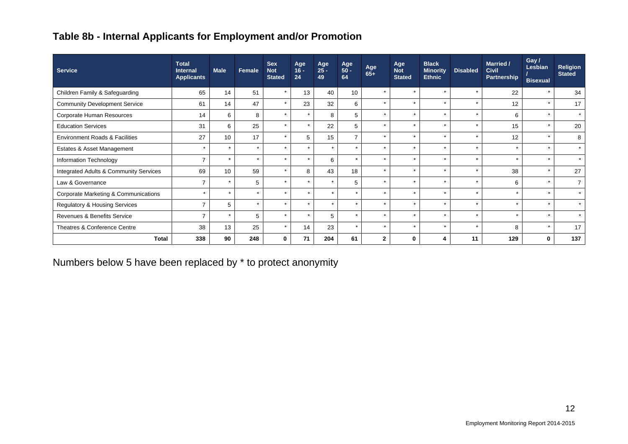# **Table 8b - Internal Applicants for Employment and/or Promotion**

| <b>Service</b>                            | <b>Total</b><br><b>Internal</b><br><b>Applicants</b> | <b>Male</b> | Female  | <b>Sex</b><br><b>Not</b><br><b>Stated</b> | Age<br>$16 -$<br>24 | Age<br>$25 -$<br>49 | Age<br>$50 -$<br>64 | Age<br>$65+$   | Age<br><b>Not</b><br><b>Stated</b> | <b>Black</b><br><b>Minority</b><br><b>Ethnic</b> | <b>Disabled</b> | <b>Married /</b><br><b>Civil</b><br><b>Partnership</b> | Gay /<br>Lesbian<br><b>Bisexual</b> | Religion<br><b>Stated</b> |
|-------------------------------------------|------------------------------------------------------|-------------|---------|-------------------------------------------|---------------------|---------------------|---------------------|----------------|------------------------------------|--------------------------------------------------|-----------------|--------------------------------------------------------|-------------------------------------|---------------------------|
| Children Family & Safeguarding            | 65                                                   | 14          | 51      | $\star$                                   | 13                  | 40                  | 10                  | $\star$        |                                    |                                                  | $\star$         | 22                                                     |                                     | 34                        |
| <b>Community Development Service</b>      | 61                                                   | 14          | 47      | $\star$                                   | 23                  | 32                  | 6                   | $\star$        | $\star$                            |                                                  |                 | 12                                                     |                                     | 17                        |
| Corporate Human Resources                 | 14                                                   | 6           | 8       | $\star$                                   | $\star$             | 8                   | 5                   | $\star$        | $\star$                            |                                                  |                 | 6                                                      | $\star$                             | $\star$                   |
| <b>Education Services</b>                 | 31                                                   | 6           | 25      | $\star$                                   | $\star$             | 22                  | 5                   | $\star$        | $\star$                            |                                                  | $\star$         | 15                                                     | $\star$                             | 20                        |
| <b>Environment Roads &amp; Facilities</b> | 27                                                   | 10          | 17      | $\star$                                   | 5                   | 15                  | $\overline{7}$      | $\star$        | $\star$                            |                                                  |                 | 12                                                     |                                     | 8                         |
| Estates & Asset Management                | $\star$                                              | $\star$     | $\star$ | $\star$                                   | $\star$             | $\star$             | $\star$             | $\star$        | $\star$                            |                                                  |                 |                                                        | $\star$                             | $\star$                   |
| <b>Information Technology</b>             | $\overline{ }$                                       | $\star$     | $\star$ | $\star$                                   | $\star$             | 6                   | $\star$             | $\star$        | $\star$                            |                                                  |                 |                                                        | $\star$                             | $\star$                   |
| Integrated Adults & Community Services    | 69                                                   | 10          | 59      | $\star$                                   | 8                   | 43                  | 18                  | $\star$        | $\star$                            |                                                  | $\star$         | 38                                                     | $\star$                             | 27                        |
| Law & Governance                          | $\overline{ }$                                       | $\star$     | 5       | $\star$                                   | $\star$             | $\star$             | 5                   | $\star$        | $\star$                            |                                                  | $\star$         | 6                                                      | $\star$                             | $\overline{7}$            |
| Corporate Marketing & Communications      | $\star$                                              | $\star$     |         |                                           | $\star$             | $\star$             |                     | $\star$        | $\star$                            |                                                  | $\star$         |                                                        |                                     | $\star$                   |
| Regulatory & Housing Services             | $\overline{ }$                                       | 5           | $\star$ | $\star$                                   | $\star$             | $\star$             | $\star$             | $\star$        | $\star$                            |                                                  | $\star$         | $\star$                                                | $\star$                             | $\star$                   |
| Revenues & Benefits Service               | $\overline{ }$                                       | $\star$     | 5       | $\star$                                   | $\star$             | 5                   | $\star$             | $\star$        | $\star$                            |                                                  | $\star$         | $\star$                                                | $\star$                             | $\star$                   |
| Theatres & Conference Centre              | 38                                                   | 13          | 25      | $\star$                                   | 14                  | 23                  | $\star$             | $\star$        | $\star$                            |                                                  |                 | 8                                                      | $\star$                             | 17                        |
| <b>Total</b>                              | 338                                                  | 90          | 248     | $\mathbf{0}$                              | 71                  | 204                 | 61                  | $\overline{2}$ | $\Omega$                           |                                                  | 11              | 129                                                    | 0                                   | 137                       |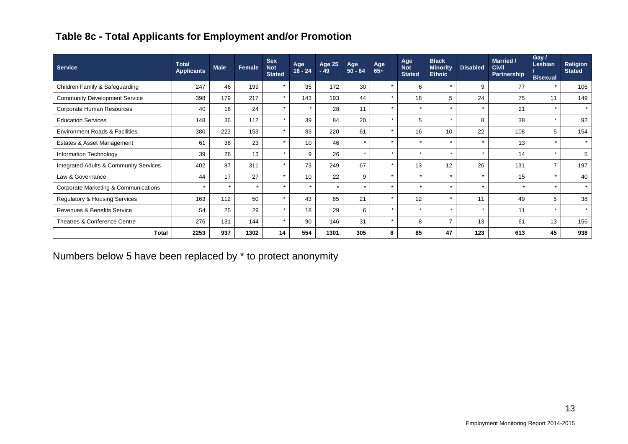# **Table 8c - Total Applicants for Employment and/or Promotion**

| <b>Service</b>                                  | <b>Total</b><br><b>Applicants</b> | <b>Male</b> | Female  | <b>Sex</b><br><b>Not</b><br><b>Stated</b> | Age<br>$16 - 24$ | <b>Age 25</b><br>$-49$ | Age<br>$50 - 64$ | Age<br>$65+$ | Age<br><b>Not</b><br><b>Stated</b> | <b>Black</b><br><b>Minority</b><br><b>Ethnic</b> | <b>Disabled</b> | Married /<br><b>Civil</b><br>Partnership | Gay/<br>Lesbian<br><b>Bisexual</b> | <b>Religion</b><br><b>Stated</b> |
|-------------------------------------------------|-----------------------------------|-------------|---------|-------------------------------------------|------------------|------------------------|------------------|--------------|------------------------------------|--------------------------------------------------|-----------------|------------------------------------------|------------------------------------|----------------------------------|
| Children Family & Safeguarding                  | 247                               | 46          | 199     | $\star$                                   | 35               | 172                    | 30               |              | 6                                  |                                                  | 9               | 77                                       |                                    | 106                              |
| <b>Community Development Service</b>            | 398                               | 179         | 217     | $\star$                                   | 143              | 193                    | 44               | $\star$      | 18                                 | 5                                                | 24              | 75                                       | 11                                 | 149                              |
| Corporate Human Resources                       | 40                                | 16          | 24      | $\star$                                   |                  | 28                     | 11               | $\star$      | $\star$                            | $\star$                                          | $\star$         | 21                                       | $\star$                            | $\star$                          |
| <b>Education Services</b>                       | 148                               | 36          | 112     | $\star$                                   | 39               | 84                     | 20               |              | 5                                  | $\star$                                          | 8               | 38                                       | $\star$                            | 92                               |
| <b>Environment Roads &amp; Facilities</b>       | 380                               | 223         | 153     | $\star$                                   | 83               | 220                    | 61               |              | 16                                 | 10                                               | 22              | 108                                      | 5                                  | 154                              |
| Estates & Asset Management                      | 61                                | 38          | 23      | $\star$                                   | 10               | 46                     | $\star$          | $\star$      | $\star$                            | $\star$                                          | $\star$         | 13                                       | $\star$                            | $\star$                          |
| Information Technology                          | 39                                | 26          | 13      | $\star$                                   | 9                | 26                     | $\star$          | $\star$      | $\star$                            |                                                  |                 | 14                                       | $\star$                            | 5                                |
| Integrated Adults & Community Services          | 402                               | 87          | 311     |                                           | 73               | 249                    | 67               |              | 13                                 | 12                                               | 26              | 131                                      | $\overline{7}$                     | 197                              |
| Law & Governance                                | 44                                | 17          | 27      | $\star$                                   | 10               | 22                     | 9                |              | $\star$                            | $\star$                                          |                 | 15                                       | $\star$                            | 40                               |
| <b>Corporate Marketing &amp; Communications</b> | $\star$                           | $\star$     | $\star$ | $\star$                                   |                  | $\star$                | $\star$          | $\star$      | $\star$                            | $\star$                                          | $\star$         | $\star$                                  | $\star$                            | $\star$                          |
| Regulatory & Housing Services                   | 163                               | 112         | 50      | $\star$                                   | 43               | 85                     | 21               | $\star$      | 12                                 | $\star$                                          | 11              | 49                                       | 5                                  | 38                               |
| Revenues & Benefits Service                     | 54                                | 25          | 29      | $\star$                                   | 18               | 29                     | 6                |              | $\star$                            | $\star$                                          | $\star$         | 11                                       | $\star$                            | $\star$                          |
| Theatres & Conference Centre                    | 276                               | 131         | 144     | $\star$                                   | 90               | 146                    | 31               |              | 8                                  | $\overline{7}$                                   | 13              | 61                                       | 13                                 | 156                              |
| <b>Total</b>                                    | 2253                              | 937         | 1302    | 14                                        | 554              | 1301                   | 305              | 8            | 85                                 | 47                                               | 123             | 613                                      | 45                                 | 938                              |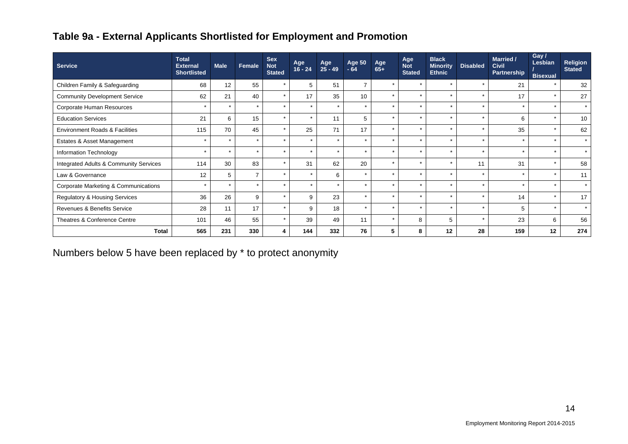## **Table 9a - External Applicants Shortlisted for Employment and Promotion**

| <b>Service</b>                                  | <b>Total</b><br><b>External</b><br><b>Shortlisted</b> | <b>Male</b> | Female         | <b>Sex</b><br><b>Not</b><br><b>Stated</b> | Age<br>$16 - 24$ | Age<br>25 - 49 | Age 50<br>$-64$          | Age<br>$65+$  | Age<br><b>Not</b><br><b>Stated</b> | <b>Black</b><br><b>Minority</b><br><b>Ethnic</b> | <b>Disabled</b> | <b>Married /</b><br><b>Civil</b><br>Partnership | Gay /<br>Lesbian<br><b>Bisexual</b> | <b>Religion</b><br><b>Stated</b> |
|-------------------------------------------------|-------------------------------------------------------|-------------|----------------|-------------------------------------------|------------------|----------------|--------------------------|---------------|------------------------------------|--------------------------------------------------|-----------------|-------------------------------------------------|-------------------------------------|----------------------------------|
| Children Family & Safeguarding                  | 68                                                    | 12          | 55             | $\star$                                   | 5                | 51             | $\overline{\phantom{a}}$ |               |                                    | $\star$                                          | $\star$         | 21                                              |                                     | 32                               |
| <b>Community Development Service</b>            | 62                                                    | 21          | 40             | $\star$                                   | 17               | 35             | 10 <sup>1</sup>          | $\star$       |                                    | $\star$                                          | $\star$         | 17                                              |                                     | 27                               |
| Corporate Human Resources                       | $\star$                                               | $\star$     | $\star$        | $\star$                                   | $\star$          | $\star$        | $\star$                  |               |                                    | $\star$                                          | $\star$         | $\star$                                         | $\star$                             | $\star$                          |
| <b>Education Services</b>                       | 21                                                    | 6           | 15             | $\star$                                   | $\star$          | 11             | 5                        |               |                                    | $\star$                                          | $\star$         | 6                                               | $\star$                             | 10                               |
| <b>Environment Roads &amp; Facilities</b>       | 115                                                   | 70          | 45             | $\star$                                   | 25               | 71             | 17                       |               |                                    | $\star$                                          | $\star$         | 35                                              |                                     | 62                               |
| Estates & Asset Management                      | $\star$                                               | $\star$     | $\star$        | $\star$                                   | $\star$          | $\star$        | $\star$                  |               |                                    | $\star$                                          | $\star$         | $\star$                                         | $\star$                             | $\star$                          |
| Information Technology                          | $\star$                                               | $\star$     | $\star$        | $\star$                                   | $\star$          | $\star$        | $\star$                  | $\star$       |                                    | $\star$                                          | $\star$         | $\star$                                         | $\star$                             | $\star$                          |
| Integrated Adults & Community Services          | 114                                                   | 30          | 83             | $\star$                                   | 31               | 62             | 20                       | $\star$       |                                    | $\star$                                          | 11              | 31                                              | $\star$                             | 58                               |
| Law & Governance                                | 12                                                    | 5           | $\overline{7}$ | $\star$                                   | $\star$          | 6              |                          |               |                                    | $\star$                                          | $\star$         | $\star$                                         |                                     | 11                               |
| <b>Corporate Marketing &amp; Communications</b> | $\star$                                               | $\star$     | $\star$        | $\star$                                   | $\star$          | $\star$        | $\star$                  |               |                                    | $\star$                                          | $\star$         | $\star$                                         | $\star$                             | $\star$                          |
| Regulatory & Housing Services                   | 36                                                    | 26          | 9              | $\star$                                   | 9                | 23             | $\star$                  | $\star$       |                                    | $\star$                                          | $\star$         | 14                                              | $\star$                             | 17                               |
| Revenues & Benefits Service                     | 28                                                    | 11          | 17             | $\star$                                   | 9                | 18             | $\star$                  | $\rightarrow$ | $\star$                            | $\star$                                          | $\star$         | 5                                               | $\star$                             | $\star$                          |
| Theatres & Conference Centre                    | 101                                                   | 46          | 55             | $\star$                                   | 39               | 49             | 11                       |               | 8                                  | 5                                                | $\star$         | 23                                              | 6                                   | 56                               |
| <b>Total</b>                                    | 565                                                   | 231         | 330            | 4                                         | 144              | 332            | 76                       | 5             | 8                                  | 12                                               | 28              | 159                                             | 12                                  | 274                              |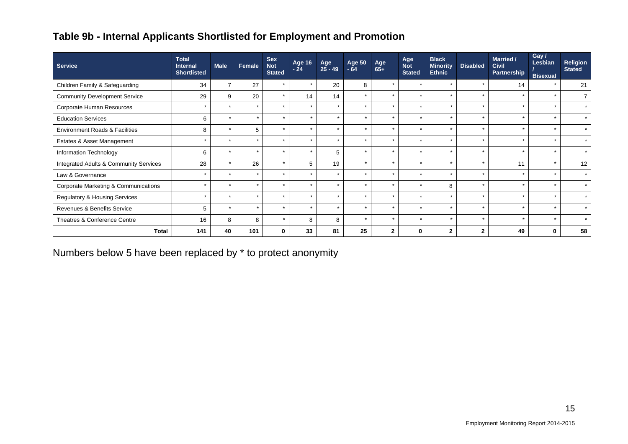## **Table 9b - Internal Applicants Shortlisted for Employment and Promotion**

| <b>Service</b>                            | <b>Total</b><br><b>Internal</b><br><b>Shortlisted</b> | <b>Male</b>          | Female  | <b>Sex</b><br><b>Not</b><br><b>Stated</b> | Age 16<br>$-24$ | Age<br>$25 - 49$ | <b>Age 50</b><br>$-64$ | Age<br>$65+$ | Age<br><b>Not</b><br><b>Stated</b> | <b>Black</b><br><b>Minority</b><br><b>Ethnic</b> | <b>Disabled</b> | <b>Married /</b><br><b>Civil</b><br>Partnership | Gay /<br>Lesbian<br><b>Bisexual</b> | Religion<br><b>Stated</b> |
|-------------------------------------------|-------------------------------------------------------|----------------------|---------|-------------------------------------------|-----------------|------------------|------------------------|--------------|------------------------------------|--------------------------------------------------|-----------------|-------------------------------------------------|-------------------------------------|---------------------------|
| Children Family & Safeguarding            | 34                                                    | $\overline{7}$       | 27      | $\star$                                   |                 | 20               | 8                      |              |                                    | $\star$                                          | $\star$         | 14                                              |                                     | 21                        |
| <b>Community Development Service</b>      | 29                                                    | 9                    | 20      | $\star$                                   | 14              | 14               | $\star$                | $\star$      |                                    | $\star$                                          | $\star$         | $\star$                                         | $\star$                             | $\overline{7}$            |
| Corporate Human Resources                 | $\star$                                               | $\star$              | $\star$ | $\star$                                   | $\star$         | $\star$          | $\star$                |              |                                    | $\star$                                          | $\star$         | $\star$                                         | $\star$                             | $\star$                   |
| <b>Education Services</b>                 | 6                                                     | $\star$              | $\star$ | $\star$                                   | $\star$         | $\star$          | $\star$                | $\star$      | $\star$                            | $\star$                                          | $\star$         | $\star$                                         | $\star$                             | $\star$                   |
| <b>Environment Roads &amp; Facilities</b> | 8                                                     | $\star$              | 5       | $\star$                                   | $\star$         | $\star$          | $\star$                |              |                                    | $\star$                                          | $\star$         | $\star$                                         | $\star$                             | $\star$                   |
| Estates & Asset Management                | $\star$                                               | $\star$              | $\star$ | $\star$                                   | $\star$         | $\star$          | $\star$                |              |                                    | $\star$                                          | $\star$         | $\star$                                         | $\star$                             | $\star$                   |
| Information Technology                    | 6                                                     | $\star$              | $\star$ |                                           | $\star$         | 5                | $\star$                | $\star$      |                                    | $\star$                                          | $\star$         | $\star$                                         | $\star$                             | $\star$                   |
| Integrated Adults & Community Services    | 28                                                    | $\ddot{\phantom{1}}$ | 26      | $\star$                                   | 5               | 19               | $\star$                |              |                                    | $\star$                                          | $\star$         | 11                                              |                                     | 12                        |
| Law & Governance                          |                                                       | $\star$              | $\star$ | $\star$                                   | $\star$         | $\star$          | $\star$                |              |                                    | $\star$                                          | $\star$         | $\star$                                         | $\star$                             | $\star$                   |
| Corporate Marketing & Communications      | $\star$                                               | $\star$              | $\star$ | $\star$                                   | $\star$         | $\star$          | $\star$                | $\star$      |                                    | 8                                                | $\star$         | $\star$                                         | $\star$                             | $\star$                   |
| Regulatory & Housing Services             |                                                       | $\star$              | $\star$ |                                           | $\star$         | $\star$          | $\star$                |              |                                    | $\star$                                          | $\star$         | $\star$                                         |                                     | $\star$                   |
| Revenues & Benefits Service               | 5                                                     | $\ddot{\phantom{1}}$ | $\star$ |                                           | $\star$         | $\star$          | $\star$                |              |                                    | $\star$                                          | $\star$         | $\star$                                         |                                     | $\star$                   |
| Theatres & Conference Centre              | 16                                                    | 8                    | 8       | $\star$                                   | 8               | 8                | $\star$                |              |                                    | $\star$                                          | $\star$         | $\star$                                         | $\star$                             | $\star$                   |
| Total                                     | 141                                                   | 40                   | 101     | $\bf{0}$                                  | 33              | 81               | 25                     | $\mathbf{2}$ | $\bf{0}$                           | $\mathbf{2}$                                     | $\mathbf{2}$    | 49                                              | $\mathbf 0$                         | 58                        |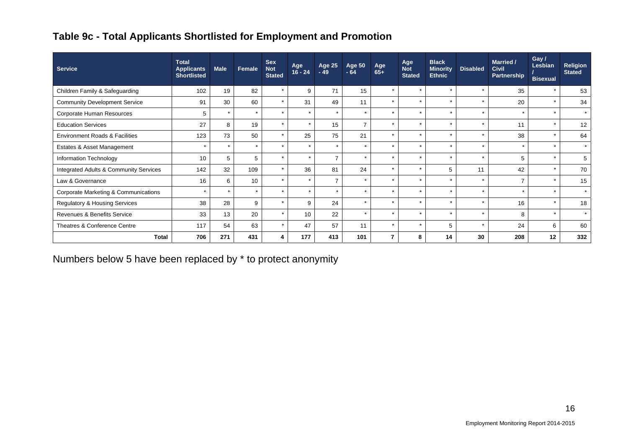## **Table 9c - Total Applicants Shortlisted for Employment and Promotion**

| <b>Service</b>                            | <b>Total</b><br><b>Applicants</b><br><b>Shortlisted</b> | <b>Male</b> | Female  | <b>Sex</b><br><b>Not</b><br><b>Stated</b> | Age<br>$16 - 24$ | <b>Age 25</b><br>$-49$ | <b>Age 50</b><br>$-64$ | Age<br>$65+$ | Age<br><b>Not</b><br><b>Stated</b> | <b>Black</b><br><b>Minority</b><br><b>Ethnic</b> | <b>Disabled</b> | <b>Married /</b><br><b>Civil</b><br>Partnership | Gay/<br><b>Lesbian</b><br><b>Bisexual</b> | Religion<br><b>Stated</b> |
|-------------------------------------------|---------------------------------------------------------|-------------|---------|-------------------------------------------|------------------|------------------------|------------------------|--------------|------------------------------------|--------------------------------------------------|-----------------|-------------------------------------------------|-------------------------------------------|---------------------------|
| Children Family & Safeguarding            | 102                                                     | 19          | 82      | $\star$                                   | 9                | 71                     | 15                     |              | $\star$                            | $\star$                                          | $\star$         | 35                                              | $\star$                                   | 53                        |
| <b>Community Development Service</b>      | 91                                                      | 30          | 60      | $\star$                                   | 31               | 49                     | 11                     |              | $\star$                            | $\star$                                          |                 | 20                                              |                                           | 34                        |
| Corporate Human Resources                 | 5                                                       | $\star$     | $\star$ | $\star$                                   | $\star$          | $\star$                | $\star$                | $\star$      | $\star$                            | $\star$                                          | $\star$         | $\star$                                         | $\star$                                   | $\star$                   |
| <b>Education Services</b>                 | 27                                                      | 8           | 19      | $\star$                                   | $\star$          | 15                     | $\overline{7}$         | $\star$      | $\star$                            | $\star$                                          | $\star$         | 11                                              | $\star$                                   | 12                        |
| <b>Environment Roads &amp; Facilities</b> | 123                                                     | 73          | 50      | $\star$                                   | 25               | 75                     | 21                     | $\star$      | $\star$                            | $\star$                                          | $\star$         | 38                                              | $\star$                                   | 64                        |
| Estates & Asset Management                | $\star$                                                 | $\star$     | $\star$ | $\star$                                   | $\star$          | $\star$                | $\star$                | $\star$      | $\star$                            | $\star$                                          | $\star$         | $\star$                                         | $\star$                                   | $\star$                   |
| Information Technology                    | 10                                                      | 5           | 5       | $\star$                                   | $\star$          | $\overline{7}$         | $\star$                |              |                                    |                                                  |                 | 5                                               |                                           | 5                         |
| Integrated Adults & Community Services    | 142                                                     | 32          | 109     | $\star$                                   | 36               | 81                     | 24                     | $\star$      | $\star$                            | 5                                                | 11              | 42                                              | $\star$                                   | 70                        |
| Law & Governance                          | 16                                                      | 6           | 10      | $\star$                                   | $\star$          | $\overline{ }$         | $\star$                | $\star$      | $\star$                            | $\star$                                          | $\star$         | $\overline{ }$                                  | $\star$                                   | 15                        |
| Corporate Marketing & Communications      | $\star$                                                 | $\star$     | $\star$ | $\star$                                   | $\star$          | $\star$                | $\star$                | $\star$      | $\star$                            | $\star$                                          | ÷               | $\star$                                         | $\star$                                   | $\star$                   |
| <b>Regulatory &amp; Housing Services</b>  | 38                                                      | 28          | 9       | $\star$                                   | 9                | 24                     | $\star$                | $\star$      | $\star$                            | $\star$                                          | $\star$         | 16                                              | $\star$                                   | 18                        |
| Revenues & Benefits Service               | 33                                                      | 13          | 20      | $\star$                                   | 10               | 22                     | $\star$                | $\star$      | $\star$                            | $\star$                                          | $\star$         | 8                                               | $\star$                                   | $\star$                   |
| Theatres & Conference Centre              | 117                                                     | 54          | 63      | $\star$                                   | 47               | 57                     | 11                     | $\star$      | $\star$                            | 5                                                | ÷               | 24                                              | 6                                         | 60                        |
| <b>Total</b>                              | 706                                                     | 271         | 431     |                                           | 177              | 413                    | 101                    |              | 8                                  | 14                                               | 30              | 208                                             | 12                                        | 332                       |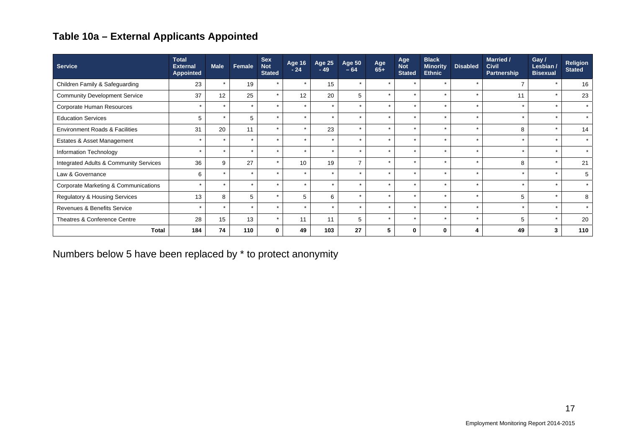# **Table 10a – External Applicants Appointed**

| <b>Service</b>                                  | <b>Total</b><br><b>External</b><br><b>Appointed</b> | <b>Male</b> | Female  | <b>Sex</b><br><b>Not</b><br><b>Stated</b> | <b>Age 16</b><br>$-24$ | Age 25<br>$-49$ | <b>Age 50</b><br>$-64$ | Age<br>$65+$ | Age<br><b>Not</b><br><b>Stated</b> | <b>Black</b><br><b>Minority</b><br><b>Ethnic</b> | <b>Disabled</b> | <b>Married /</b><br><b>Civil</b><br>Partnership | Gay /<br>Lesbian /<br><b>Bisexual</b> | <b>Religion</b><br><b>Stated</b> |
|-------------------------------------------------|-----------------------------------------------------|-------------|---------|-------------------------------------------|------------------------|-----------------|------------------------|--------------|------------------------------------|--------------------------------------------------|-----------------|-------------------------------------------------|---------------------------------------|----------------------------------|
| Children Family & Safeguarding                  | 23                                                  | $\star$     | 19      | $\star$                                   | $\star$                | 15              | $\star$                | $\star$      | $\star$                            | $\star$                                          | $\star$         |                                                 | $\star$                               | 16                               |
| <b>Community Development Service</b>            | 37                                                  | 12          | 25      | $\star$                                   | 12                     | 20              | 5                      | $\star$      | $\star$                            | $\star$                                          | $\star$         | 11                                              | $\overline{\phantom{a}}$              | 23                               |
| Corporate Human Resources                       | $\star$                                             | $\star$     | $\star$ | $\star$                                   | $\star$                | $\star$         | $\star$                | $\star$      | $\star$                            | $\star$                                          | $\star$         |                                                 | $\star$                               | $\star$                          |
| <b>Education Services</b>                       | 5                                                   | $\star$     | 5       | $\star$                                   | $\star$                | $\star$         | $\star$                | $\star$      |                                    | $\star$                                          | $\star$         |                                                 | $\overline{\phantom{a}}$              | $\star$                          |
| <b>Environment Roads &amp; Facilities</b>       | 31                                                  | 20          | 11      | $\star$                                   | $\star$                | 23              | $\star$                | $\star$      |                                    | $\star$                                          | $\star$         | 8                                               | $\overline{\phantom{a}}$              | 14                               |
| Estates & Asset Management                      | $\star$                                             | $\star$     | $\star$ | $\star$                                   | ÷                      | $\star$         | $\star$                | $\star$      | $\star$                            | $\star$                                          | $\star$         |                                                 | $\star$                               | $\star$                          |
| Information Technology                          | $\star$                                             | $\star$     | $\star$ | $\star$                                   | $\star$                | $\star$         | $\star$                | $\star$      | $\star$                            | $\star$                                          | $\star$         |                                                 | $\star$                               | $\star$                          |
| Integrated Adults & Community Services          | 36                                                  | 9           | 27      | $\star$                                   | 10                     | 19              | $\overline{7}$         | $\star$      |                                    | $\star$                                          | $\star$         | 8                                               | $\star$                               | 21                               |
| Law & Governance                                | 6                                                   | $\star$     | $\star$ | $\star$                                   | $\star$                | $\star$         | $\star$                | $\star$      | $\star$                            | $\star$                                          | $\star$         | $\star$                                         | $\star$                               | 5                                |
| <b>Corporate Marketing &amp; Communications</b> | $\star$                                             | $\star$     | $\star$ | $\star$                                   | $\star$                | $\star$         | $\star$                | $\star$      | $\star$                            | $\star$                                          | $\star$         | $\star$                                         | $\star$                               | $\star$                          |
| Regulatory & Housing Services                   | 13                                                  | 8           | 5       | $\star$                                   | 5                      | 6               | $\star$                | $\star$      | $\star$                            | $\star$                                          | $\star$         | 5                                               | $\star$                               | 8                                |
| Revenues & Benefits Service                     | $\star$                                             | $\star$     | $\star$ | $\star$                                   | $\star$                | $\star$         | $\star$                | $\star$      |                                    | $\star$                                          | $\star$         | $\star$                                         |                                       | $\star$                          |
| Theatres & Conference Centre                    | 28                                                  | 15          | 13      | $\star$                                   | 11                     | 11              | 5                      | $\star$      | $\star$                            | $\star$                                          | $\star$         | 5                                               | $\star$                               | 20                               |
| <b>Total</b>                                    | 184                                                 | 74          | 110     | $\mathbf{0}$                              | 49                     | 103             | 27                     | 5            | 0                                  | 0                                                | 4               | 49                                              | 3                                     | 110                              |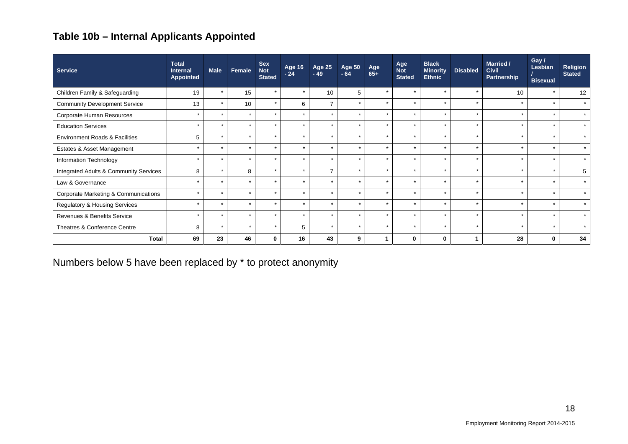# **Table 10b – Internal Applicants Appointed**

| <b>Service</b>                            | <b>Total</b><br><b>Internal</b><br><b>Appointed</b> | <b>Male</b> | Female  | <b>Sex</b><br><b>Not</b><br><b>Stated</b> | <b>Age 16</b><br>$-24$ | <b>Age 25</b><br>$-49$ | <b>Age 50</b><br>$-64$ | Age<br>65+ | Age<br><b>Not</b><br><b>Stated</b> | <b>Black</b><br><b>Minority</b><br><b>Ethnic</b> | <b>Disabled</b> | Married /<br><b>Civil</b><br>Partnership | Gay /<br>Lesbian<br><b>Bisexual</b> | <b>Religion</b><br><b>Stated</b> |
|-------------------------------------------|-----------------------------------------------------|-------------|---------|-------------------------------------------|------------------------|------------------------|------------------------|------------|------------------------------------|--------------------------------------------------|-----------------|------------------------------------------|-------------------------------------|----------------------------------|
| Children Family & Safeguarding            | 19                                                  | $\star$     | 15      |                                           |                        | 10                     | 5                      | $\star$    | $\star$                            | $\star$                                          | $\star$         | 10                                       | $\star$                             | 12                               |
| <b>Community Development Service</b>      | 13                                                  | $\star$     | 10      | $\star$                                   | 6                      | $\overline{7}$         | $\star$                | $\star$    | $\star$                            | $\star$                                          | $\star$         |                                          | $\rightarrow$                       |                                  |
| Corporate Human Resources                 | $\star$                                             | $\star$     | $\star$ | $\star$                                   | $\star$                | $\star$                | $\star$                | $\star$    | $\star$                            | $\star$                                          | $\star$         | $\star$                                  | $\star$                             | $\star$                          |
| <b>Education Services</b>                 | $\star$                                             | $\star$     | $\star$ | $\star$                                   | $\star$                | $\star$                | $\star$                | $\star$    | $\star$                            | $\star$                                          | $\star$         |                                          | $\star$                             | $\star$                          |
| <b>Environment Roads &amp; Facilities</b> | 5                                                   | $\star$     | $\star$ | $\star$                                   | $\bullet$              | $\star$                | $\star$                | $\star$    | $\star$                            | $\star$                                          | $\star$         | $\bullet$                                | $\star$                             | $\bullet$                        |
| Estates & Asset Management                | $\star$                                             | $\star$     | $\star$ | $\star$                                   | $\star$                | $\star$                | $\star$                | $\star$    | $\star$                            | $\star$                                          | $\star$         | $\star$                                  | $\star$                             | $\star$                          |
| Information Technology                    | $\star$                                             | $\star$     | $\star$ | $\star$                                   | $\star$                | $\star$                | $\star$                | $\star$    | $\star$                            | $\star$                                          | $\star$         |                                          | $\star$                             |                                  |
| Integrated Adults & Community Services    | 8                                                   | $\star$     | 8       | $\star$                                   | ÷                      | $\overline{7}$         | $\star$                | $\star$    | $\star$                            | $\star$                                          | $\star$         |                                          | $\star$                             | 5                                |
| Law & Governance                          | $\star$                                             | $\star$     | $\star$ | $\star$                                   | $\star$                | $\star$                | $\star$                | $\star$    | $\star$                            | $\star$                                          | $\bullet$       | $\star$                                  | $\star$                             | $\bullet$                        |
| Corporate Marketing & Communications      | $\star$                                             | $\star$     | $\star$ | $\star$                                   | $\star$                | $\star$                | $\star$                | $\star$    |                                    | $\star$                                          | $\star$         |                                          | $\star$                             | $\star$                          |
| Regulatory & Housing Services             | $\star$                                             | $\star$     | $\star$ | $\star$                                   | $\bullet$              | $\star$                | $\star$                | $\star$    | $\star$                            | $\star$                                          | $\star$         | $\star$                                  | $\star$                             | $\star$                          |
| Revenues & Benefits Service               | $\star$                                             | $\star$     | $\star$ |                                           | $\bullet$              | $\star$                | $\star$                | $\star$    | $\star$                            | $\star$                                          | $\star$         |                                          | $\star$                             |                                  |
| Theatres & Conference Centre              | 8                                                   | $\star$     | $\star$ | $\star$                                   | 5                      | $\star$                | $\star$                | $\star$    | $\star$                            | $\star$                                          | $\star$         | $\star$                                  | $\star$                             | $\bullet$                        |
| <b>Total</b>                              | 69                                                  | 23          | 46      | 0                                         | 16                     | 43                     | 9                      |            | 0                                  | 0                                                |                 | 28                                       | $\bf{0}$                            | 34                               |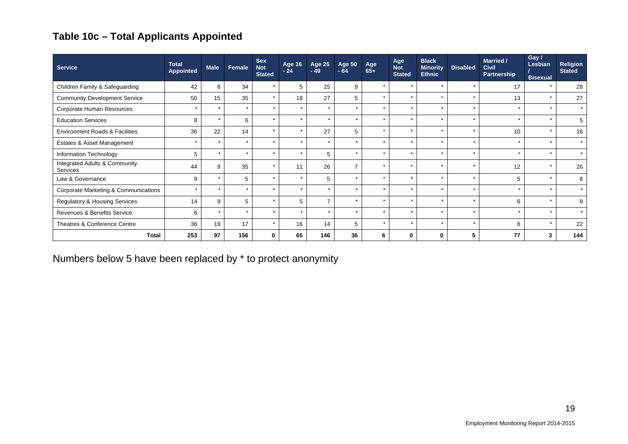## **Table 10c – Total Applicants Appointed**

| <b>Service</b>                            | <b>Total</b><br><b>Appointed</b> | <b>Male</b> | Female  | <b>Sex</b><br><b>Not</b><br><b>Stated</b> | <b>Age 16</b><br>$-24$ | <b>Age 25</b><br>$-49$ | Age 50<br>$-64$ | Age<br>$65+$ | Age<br><b>Not</b><br><b>Stated</b> | <b>Black</b><br><b>Minority</b><br><b>Ethnic</b> | <b>Disabled</b> | <b>Married /</b><br><b>Civil</b><br>Partnership | Gay /<br>Lesbian<br><b>Bisexual</b> | <b>Religion</b><br><b>Stated</b> |
|-------------------------------------------|----------------------------------|-------------|---------|-------------------------------------------|------------------------|------------------------|-----------------|--------------|------------------------------------|--------------------------------------------------|-----------------|-------------------------------------------------|-------------------------------------|----------------------------------|
| Children Family & Safeguarding            | 42                               | 8           | 34      |                                           | 5                      | 25                     | 9               | $\star$      | $\star$                            | $\star$                                          | $\star$         | 17                                              |                                     | 28                               |
| <b>Community Development Service</b>      | 50                               | 15          | 35      |                                           | 18                     | 27                     | 5               | $\star$      | $\star$                            | $\star$                                          |                 | 13                                              |                                     | 27                               |
| Corporate Human Resources                 | $\star$                          | $\star$     | $\star$ | $\star$                                   | $\star$                | $\star$                | $\star$         | $\star$      | $\star$                            | $\star$                                          | $\star$         | $\star$                                         | $\star$                             | $\star$                          |
| <b>Education Services</b>                 | 8                                | $\star$     | 6       | $\star$                                   | $\star$                | $\star$                | $\star$         | $\star$      | $\star$                            | $\star$                                          | $\star$         | $\star$                                         | $\star$                             | 5                                |
| <b>Environment Roads &amp; Facilities</b> | 36                               | 22          | 14      |                                           | $\star$                | 27                     | 5               | $\star$      | $\star$                            | $\star$                                          | $\star$         | 10                                              | $\star$                             | 16                               |
| Estates & Asset Management                | $\star$                          | $\star$     |         |                                           |                        | $\star$                |                 | $\star$      | $\star$                            | $\star$                                          | $\star$         | $\star$                                         | $\star$                             | $\star$                          |
| Information Technology                    | 5                                | $\star$     |         |                                           |                        | 5                      | $\star$         | $\star$      | $\star$                            | $\star$                                          | $\star$         | $\star$                                         |                                     | $\star$                          |
| Integrated Adults & Community<br>Services | 44                               | 9           | 35      |                                           | 11                     | 26                     | $\overline{7}$  | $\star$      |                                    | $\star$                                          | $\star$         | 12                                              |                                     | 26                               |
| Law & Governance                          | 9                                | ÷           | 5       |                                           | $\star$                | 5                      | $\star$         | $\star$      | $\star$                            | $\star$                                          | $\star$         | 5                                               |                                     | 8                                |
| Corporate Marketing & Communications      | $\star$                          | $\star$     | $\star$ |                                           | $\star$                | $\star$                |                 | $\star$      | $\star$                            | $\star$                                          | $\star$         | $\star$                                         | $\star$                             | $\star$                          |
| Regulatory & Housing Services             | 14                               | 9           | 5       |                                           | 5                      | $\overline{7}$         |                 | $\star$      | $\star$                            | $\star$                                          | $\star$         | 6                                               | $\star$                             | 8                                |
| Revenues & Benefits Service               | 6                                | $\star$     |         |                                           | $\star$                | $\star$                | $\star$         | $\star$      | $\star$                            | $\star$                                          | $\star$         | $\star$                                         | $\star$                             | $\star$                          |
| Theatres & Conference Centre              | 36                               | 19          | 17      |                                           | 16                     | 14                     | 5               | $\star$      | $\star$                            | $\star$                                          | $\star$         | 6                                               | $\star$                             | 22                               |
| <b>Total</b>                              | 253                              | 97          | 156     | 0                                         | 65                     | 146                    | 36              | 6            | 0                                  | $\bf{0}$                                         | 5               | 77                                              | 3                                   | 144                              |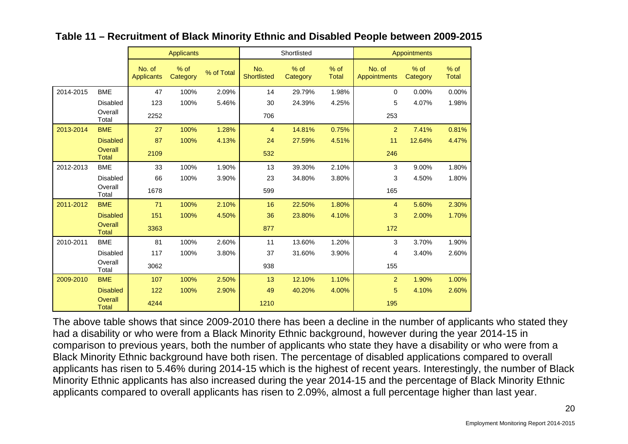|           |                         |                             | <b>Applicants</b>  |            |                    | Shortlisted      |                      |                        | Appointments       |                      |
|-----------|-------------------------|-----------------------------|--------------------|------------|--------------------|------------------|----------------------|------------------------|--------------------|----------------------|
|           |                         | No. of<br><b>Applicants</b> | $%$ of<br>Category | % of Total | No.<br>Shortlisted | % of<br>Category | % of<br><b>Total</b> | No. of<br>Appointments | $%$ of<br>Category | % of<br><b>Total</b> |
| 2014-2015 | <b>BME</b>              | 47                          | 100%               | 2.09%      | 14                 | 29.79%           | 1.98%                | $\Omega$               | 0.00%              | 0.00%                |
|           | <b>Disabled</b>         | 123                         | 100%               | 5.46%      | 30                 | 24.39%           | 4.25%                | 5                      | 4.07%              | 1.98%                |
|           | Overall<br>Total        | 2252                        |                    |            | 706                |                  |                      | 253                    |                    |                      |
| 2013-2014 | <b>BME</b>              | 27                          | 100%               | 1.28%      | 4                  | 14.81%           | 0.75%                | $\overline{2}$         | 7.41%              | 0.81%                |
|           | <b>Disabled</b>         | 87                          | 100%               | 4.13%      | 24                 | 27.59%           | 4.51%                | 11                     | 12.64%             | 4.47%                |
|           | Overall<br><b>Total</b> | 2109                        |                    |            | 532                |                  |                      | 246                    |                    |                      |
| 2012-2013 | <b>BME</b>              | 33                          | 100%               | 1.90%      | 13                 | 39.30%           | 2.10%                | 3                      | 9.00%              | 1.80%                |
|           | <b>Disabled</b>         | 66                          | 100%               | 3.90%      | 23                 | 34.80%           | 3.80%                | 3                      | 4.50%              | 1.80%                |
|           | Overall<br>Total        | 1678                        |                    |            | 599                |                  |                      | 165                    |                    |                      |
| 2011-2012 | <b>BME</b>              | 71                          | 100%               | 2.10%      | 16                 | 22.50%           | 1.80%                | 4                      | 5.60%              | 2.30%                |
|           | <b>Disabled</b>         | 151                         | 100%               | 4.50%      | 36                 | 23.80%           | 4.10%                | 3                      | 2.00%              | 1.70%                |
|           | Overall<br><b>Total</b> | 3363                        |                    |            | 877                |                  |                      | 172                    |                    |                      |
| 2010-2011 | <b>BME</b>              | 81                          | 100%               | 2.60%      | 11                 | 13.60%           | 1.20%                | 3                      | 3.70%              | 1.90%                |
|           | <b>Disabled</b>         | 117                         | 100%               | 3.80%      | 37                 | 31.60%           | 3.90%                | 4                      | 3.40%              | 2.60%                |
|           | Overall<br>Total        | 3062                        |                    |            | 938                |                  |                      | 155                    |                    |                      |
| 2009-2010 | <b>BME</b>              | 107                         | 100%               | 2.50%      | 13                 | 12.10%           | 1.10%                | $\overline{2}$         | 1.90%              | 1.00%                |
|           | <b>Disabled</b>         | 122                         | 100%               | 2.90%      | 49                 | 40.20%           | 4.00%                | 5                      | 4.10%              | 2.60%                |
|           | Overall<br><b>Total</b> | 4244                        |                    |            | 1210               |                  |                      | 195                    |                    |                      |

#### **Table 11 – Recruitment of Black Minority Ethnic and Disabled People between 2009-2015**

The above table shows that since 2009-2010 there has been a decline in the number of applicants who stated they had a disability or who were from a Black Minority Ethnic background, however during the year 2014-15 in comparison to previous years, both the number of applicants who state they have a disability or who were from a Black Minority Ethnic background have both risen. The percentage of disabled applications compared to overall applicants has risen to 5.46% during 2014-15 which is the highest of recent years. Interestingly, the number of Black Minority Ethnic applicants has also increased during the year 2014-15 and the percentage of Black Minority Ethnic applicants compared to overall applicants has risen to 2.09%, almost a full percentage higher than last year.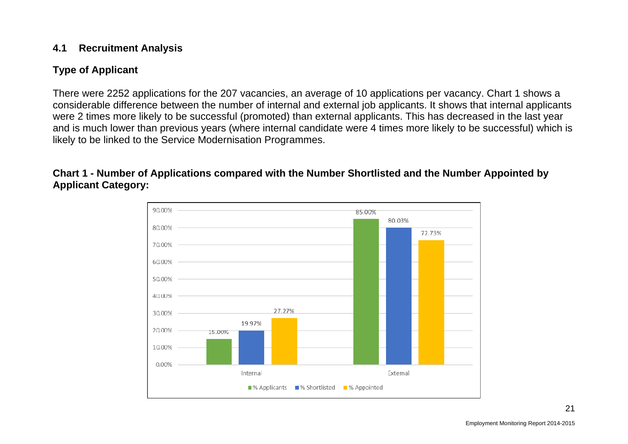### **4.1 Recruitment Analysis**

## **Type of Applicant**

There were 2252 applications for the 207 vacancies, an average of 10 applications per vacancy. Chart 1 shows a considerable difference between the number of internal and external job applicants. It shows that internal applicants were 2 times more likely to be successful (promoted) than external applicants. This has decreased in the last year and is much lower than previous years (where internal candidate were 4 times more likely to be successful) which is likely to be linked to the Service Modernisation Programmes.

### **Chart 1 - Number of Applications compared with the Number Shortlisted and the Number Appointed by Applicant Category:**



21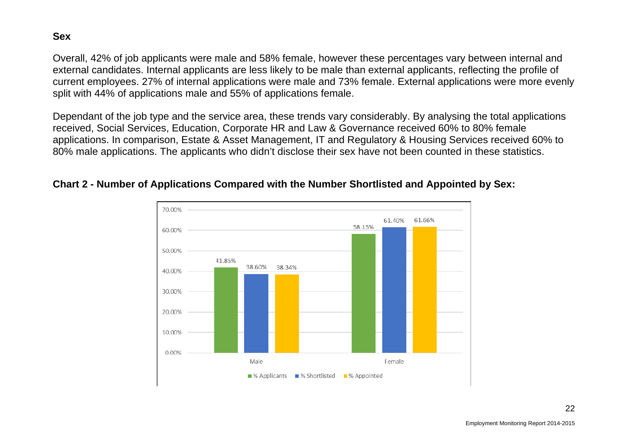#### **Sex**

Overall, 42% of job applicants were male and 58% female, however these percentages vary between internal and external candidates. Internal applicants are less likely to be male than external applicants, reflecting the profile of current employees. 27% of internal applications were male and 73% female. External applications were more evenly split with 44% of applications male and 55% of applications female.

Dependant of the job type and the service area, these trends vary considerably. By analysing the total applications received, Social Services, Education, Corporate HR and Law & Governance received 60% to 80% female applications. In comparison, Estate & Asset Management, IT and Regulatory & Housing Services received 60% to 80% male applications. The applicants who didn't disclose their sex have not been counted in these statistics.



#### **Chart 2 - Number of Applications Compared with the Number Shortlisted and Appointed by Sex:**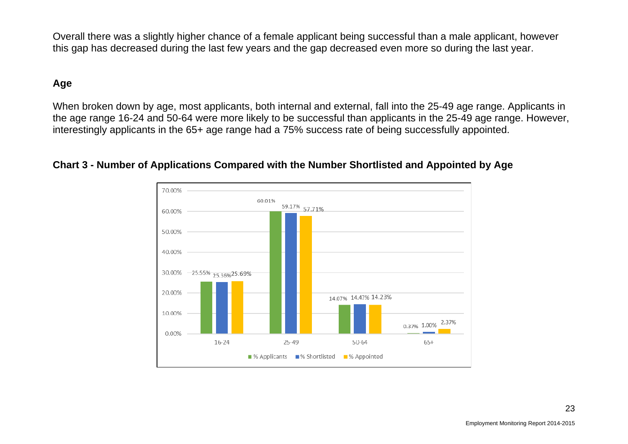Overall there was a slightly higher chance of a female applicant being successful than a male applicant, however this gap has decreased during the last few years and the gap decreased even more so during the last year.

### **Age**

When broken down by age, most applicants, both internal and external, fall into the 25-49 age range. Applicants in the age range 16-24 and 50-64 were more likely to be successful than applicants in the 25-49 age range. However, interestingly applicants in the 65+ age range had a 75% success rate of being successfully appointed.



#### **Chart 3 - Number of Applications Compared with the Number Shortlisted and Appointed by Age**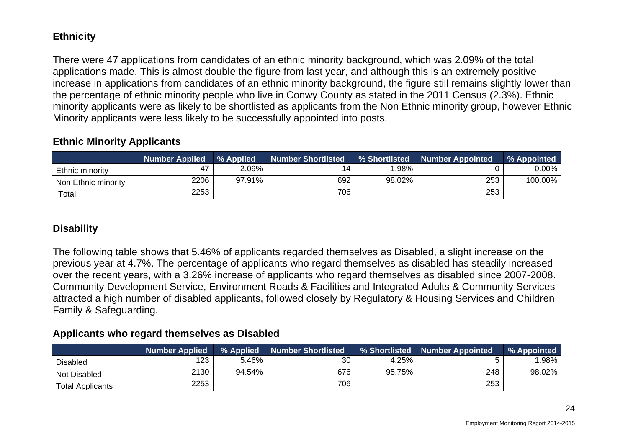### **Ethnicity**

There were 47 applications from candidates of an ethnic minority background, which was 2.09% of the total applications made. This is almost double the figure from last year, and although this is an extremely positive increase in applications from candidates of an ethnic minority background, the figure still remains slightly lower than the percentage of ethnic minority people who live in Conwy County as stated in the 2011 Census (2.3%). Ethnic minority applicants were as likely to be shortlisted as applicants from the Non Ethnic minority group, however Ethnic Minority applicants were less likely to be successfully appointed into posts.

#### **Ethnic Minority Applicants**

|                     | <b>Number Applied</b> | % Applied | <b>Number Shortlisted</b> | % Shortlisted | <b>Number Appointed</b> | % Appointed |
|---------------------|-----------------------|-----------|---------------------------|---------------|-------------------------|-------------|
| Ethnic minority     | 47                    | 2.09%     | 14                        | .98%          |                         | $0.00\%$    |
| Non Ethnic minority | 2206                  | 97.91%    | 692                       | 98.02%        | 253                     | 100.00%     |
| Total               | 2253                  |           | 706                       |               | 253                     |             |

#### **Disability**

The following table shows that 5.46% of applicants regarded themselves as Disabled, a slight increase on the previous year at 4.7%. The percentage of applicants who regard themselves as disabled has steadily increased over the recent years, with a 3.26% increase of applicants who regard themselves as disabled since 2007-2008. Community Development Service, Environment Roads & Facilities and Integrated Adults & Community Services attracted a high number of disabled applicants, followed closely by Regulatory & Housing Services and Children Family & Safeguarding.

#### **Applicants who regard themselves as Disabled**

|                         | <b>Number Applied</b> | % Applied | <b>Number Shortlisted</b> | % Shortlisted | Number Appointed | % Appointed |
|-------------------------|-----------------------|-----------|---------------------------|---------------|------------------|-------------|
| <b>Disabled</b>         | 123                   | 5.46%     | 30                        | 4.25%         |                  | .98%        |
| Not Disabled            | 2130                  | 94.54%    | 676                       | 95.75%        | 248              | 98.02%      |
| <b>Total Applicants</b> | 2253                  |           | 706                       |               | 253              |             |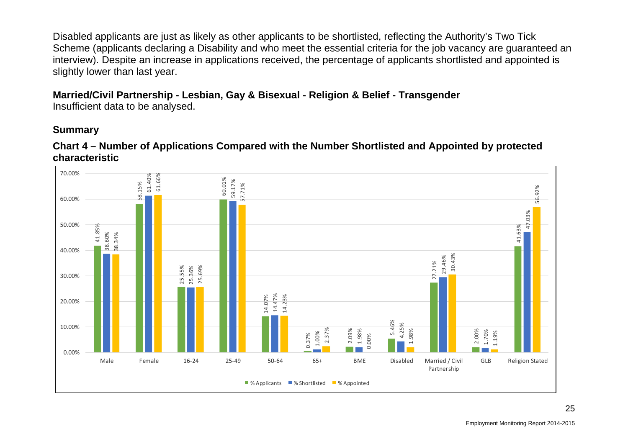Disabled applicants are just as likely as other applicants to be shortlisted, reflecting the Authority's Two Tick Scheme (applicants declaring a Disability and who meet the essential criteria for the job vacancy are guaranteed an interview). Despite an increase in applications received, the percentage of applicants shortlisted and appointed is slightly lower than last year.

# **Married/Civil Partnership - Lesbian, Gay & Bisexual - Religion & Belief - Transgender**

Insufficient data to be analysed.

#### **Summary**



#### **Chart 4 – Number of Applications Compared with the Number Shortlisted and Appointed by protected characteristic**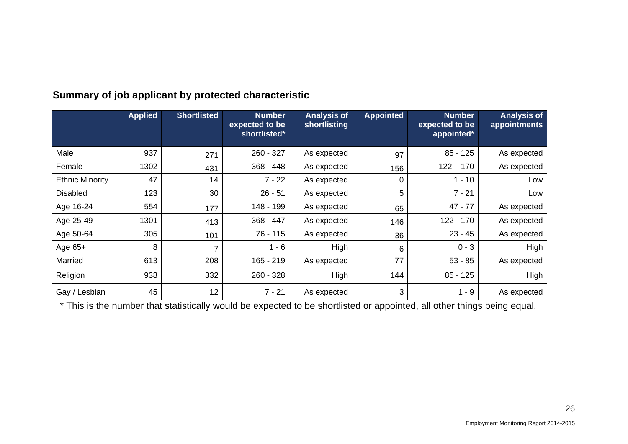|                        | <b>Applied</b> | <b>Shortlisted</b> | <b>Number</b><br>expected to be<br>shortlisted* | <b>Analysis of</b><br>shortlisting | <b>Appointed</b> | <b>Number</b><br>expected to be<br>appointed* | <b>Analysis of</b><br>appointments |
|------------------------|----------------|--------------------|-------------------------------------------------|------------------------------------|------------------|-----------------------------------------------|------------------------------------|
| Male                   | 937            | 271                | $260 - 327$                                     | As expected                        | 97               | $85 - 125$                                    | As expected                        |
| Female                 | 1302           | 431                | 368 - 448                                       | As expected                        | 156              | $122 - 170$                                   | As expected                        |
| <b>Ethnic Minority</b> | 47             | 14                 | $7 - 22$                                        | As expected                        | 0                | $1 - 10$                                      | Low                                |
| <b>Disabled</b>        | 123            | 30                 | $26 - 51$                                       | As expected                        | 5                | $7 - 21$                                      | Low                                |
| Age 16-24              | 554            | 177                | 148 - 199                                       | As expected                        | 65               | $47 - 77$                                     | As expected                        |
| Age 25-49              | 1301           | 413                | $368 - 447$                                     | As expected                        | 146              | $122 - 170$                                   | As expected                        |
| Age 50-64              | 305            | 101                | 76 - 115                                        | As expected                        | 36               | $23 - 45$                                     | As expected                        |
| Age 65+                | 8              |                    | $1 - 6$                                         | High                               | 6                | $0 - 3$                                       | High                               |
| Married                | 613            | 208                | 165 - 219                                       | As expected                        | 77               | $53 - 85$                                     | As expected                        |
| Religion               | 938            | 332                | $260 - 328$                                     | High                               | 144              | $85 - 125$                                    | High                               |
| Gay / Lesbian          | 45             | 12                 | $7 - 21$                                        | As expected                        | 3                | $1 - 9$                                       | As expected                        |

### **Summary of job applicant by protected characteristic**

\* This is the number that statistically would be expected to be shortlisted or appointed, all other things being equal.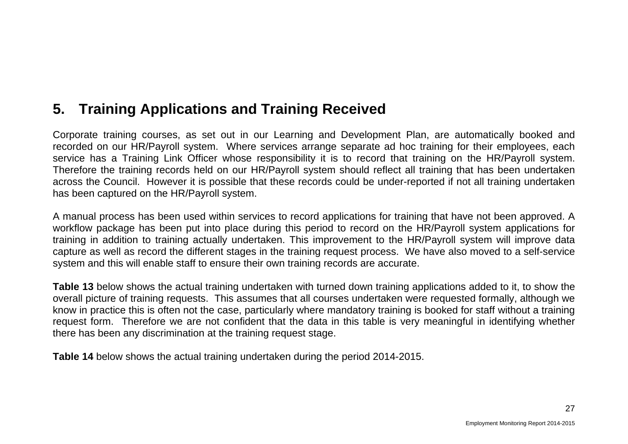# **5. Training Applications and Training Received**

Corporate training courses, as set out in our Learning and Development Plan, are automatically booked and recorded on our HR/Payroll system. Where services arrange separate ad hoc training for their employees, each service has a Training Link Officer whose responsibility it is to record that training on the HR/Payroll system. Therefore the training records held on our HR/Payroll system should reflect all training that has been undertaken across the Council. However it is possible that these records could be under-reported if not all training undertaken has been captured on the HR/Payroll system.

A manual process has been used within services to record applications for training that have not been approved. A workflow package has been put into place during this period to record on the HR/Payroll system applications for training in addition to training actually undertaken. This improvement to the HR/Payroll system will improve data capture as well as record the different stages in the training request process. We have also moved to a self-service system and this will enable staff to ensure their own training records are accurate.

**Table 13** below shows the actual training undertaken with turned down training applications added to it, to show the overall picture of training requests. This assumes that all courses undertaken were requested formally, although we know in practice this is often not the case, particularly where mandatory training is booked for staff without a training request form. Therefore we are not confident that the data in this table is very meaningful in identifying whether there has been any discrimination at the training request stage.

**Table 14** below shows the actual training undertaken during the period 2014-2015.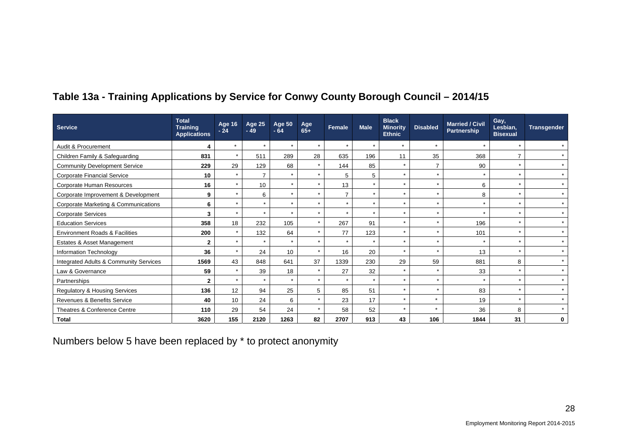| <b>Service</b>                                  | <b>Total</b><br><b>Training</b><br><b>Applications</b> | <b>Age 16</b><br>$-24$ | <b>Age 25</b><br>$-49$ | <b>Age 50</b><br>$-64$ | Age<br>$65+$ | <b>Female</b>  | <b>Male</b> | <b>Black</b><br><b>Minority</b><br><b>Ethnic</b> | <b>Disabled</b> | <b>Married / Civil</b><br>Partnership | Gay,<br>Lesbian,<br><b>Bisexual</b> | <b>Transgender</b> |
|-------------------------------------------------|--------------------------------------------------------|------------------------|------------------------|------------------------|--------------|----------------|-------------|--------------------------------------------------|-----------------|---------------------------------------|-------------------------------------|--------------------|
| Audit & Procurement                             | 4                                                      | $\star$                | $\star$                | $\star$                | $\star$      | $\star$        | $\star$     | $\star$                                          | $\star$         | $\star$                               |                                     | $\star$            |
| Children Family & Safeguarding                  | 831                                                    | $\star$                | 511                    | 289                    | 28           | 635            | 196         | 11                                               | 35              | 368                                   | $\overline{ }$                      | $\star$            |
| <b>Community Development Service</b>            | 229                                                    | 29                     | 129                    | 68                     | $\star$      | 144            | 85          | $\star$                                          | $\overline{7}$  | 90                                    | $\star$                             | $\star$            |
| <b>Corporate Financial Service</b>              | 10                                                     | $\star$                | $\overline{7}$         | $\star$                | $\star$      | 5              | 5           | $\star$                                          | $\star$         | $\star$                               | $\star$                             | $\star$            |
| Corporate Human Resources                       | 16                                                     | $\star$                | 10                     | $\star$                | $\star$      | 13             | $\star$     | $\star$                                          | $\star$         | 6                                     | $\star$                             | $\star$            |
| Corporate Improvement & Development             | 9                                                      | $\star$                | 6                      | $\star$                | $\star$      | $\overline{7}$ | $\star$     | $\star$                                          | $\star$         | 8                                     | $\star$                             | $\star$            |
| <b>Corporate Marketing &amp; Communications</b> | 6                                                      | $\star$                | $\star$                | $\star$                | $\star$      | $\star$        | $\star$     | $\star$                                          | $\star$         | $\star$                               |                                     |                    |
| Corporate Services                              | 3                                                      | $\star$                |                        | $\star$                | $\star$      |                | $\star$     | $\star$                                          | $\star$         | $\star$                               |                                     | $\star$            |
| <b>Education Services</b>                       | 358                                                    | 18                     | 232                    | 105                    | $\star$      | 267            | 91          |                                                  | $\star$         | 196                                   |                                     | $\star$            |
| <b>Environment Roads &amp; Facilities</b>       | 200                                                    | $\star$                | 132                    | 64                     | $\star$      | 77             | 123         | $\star$                                          | $\star$         | 101                                   | $\star$                             | $\star$            |
| Estates & Asset Management                      | $\mathbf{2}$                                           | $\star$                | $\star$                | $\star$                | $\star$      | $\star$        | $\star$     | $\ddot{\phantom{a}}$                             | $\star$         |                                       |                                     | $\star$            |
| Information Technology                          | 36                                                     | $\star$                | 24                     | 10                     | $\star$      | 16             | 20          | $\star$                                          | $\star$         | 13                                    | $\star$                             | $\star$            |
| Integrated Adults & Community Services          | 1569                                                   | 43                     | 848                    | 641                    | 37           | 1339           | 230         | 29                                               | 59              | 881                                   | 8                                   | $\star$            |
| Law & Governance                                | 59                                                     | $\star$                | 39                     | 18                     | $\star$      | 27             | 32          |                                                  | $\star$         | 33                                    |                                     | $\star$            |
| Partnerships                                    | $\mathbf{2}$                                           | $\star$                | $\star$                | $\star$                | $\star$      | $\star$        | $\star$     |                                                  | $\star$         | $\star$                               | $\star$                             |                    |
| Regulatory & Housing Services                   | 136                                                    | 12                     | 94                     | 25                     | 5            | 85             | 51          | $\star$                                          | $\star$         | 83                                    | $\star$                             | $\star$            |
| Revenues & Benefits Service                     | 40                                                     | 10                     | 24                     | 6                      | $\star$      | 23             | 17          | $\star$                                          | $\star$         | 19                                    | $\star$                             | $\star$            |
| Theatres & Conference Centre                    | 110                                                    | 29                     | 54                     | 24                     | $\star$      | 58             | 52          | $\star$                                          | $\star$         | 36                                    | 8                                   | $\star$            |
| <b>Total</b>                                    | 3620                                                   | 155                    | 2120                   | 1263                   | 82           | 2707           | 913         | 43                                               | 106             | 1844                                  | 31                                  | 0                  |

# **Table 13a - Training Applications by Service for Conwy County Borough Council – 2014/15**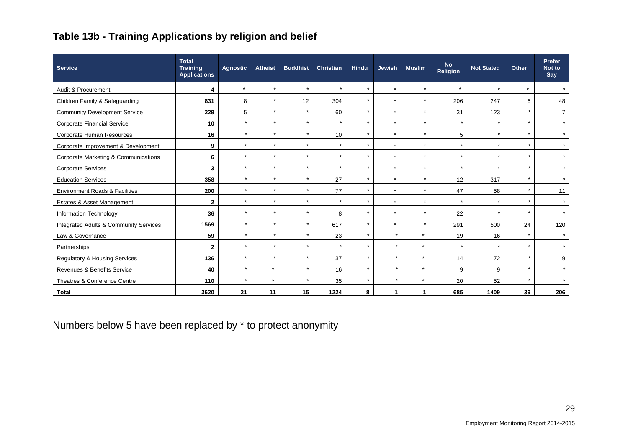# **Table 13b - Training Applications by religion and belief**

| <b>Service</b>                                  | <b>Total</b><br><b>Training</b><br><b>Applications</b> | Agnostic | <b>Atheist</b> | <b>Buddhist</b> | <b>Christian</b> | <b>Hindu</b> | <b>Jewish</b> | <b>Muslim</b> | <b>No</b><br>Religion | <b>Not Stated</b> | Other   | Prefer<br>Not to<br>Say |
|-------------------------------------------------|--------------------------------------------------------|----------|----------------|-----------------|------------------|--------------|---------------|---------------|-----------------------|-------------------|---------|-------------------------|
| Audit & Procurement                             | 4                                                      |          | $\star$        | $\star$         | $\star$          | $\star$      | $\star$       | $\star$       |                       | $\star$           | $\star$ |                         |
| Children Family & Safeguarding                  | 831                                                    | 8        | $\star$        | 12              | 304              | $\star$      | $\star$       | $\star$       | 206                   | 247               | 6       | 48                      |
| <b>Community Development Service</b>            | 229                                                    | 5        | $\star$        | $\star$         | 60               | $\star$      | $\star$       | $\star$       | 31                    | 123               |         | $\overline{7}$          |
| <b>Corporate Financial Service</b>              | 10                                                     | $\star$  | $\star$        | $\star$         | $\star$          | $\star$      | $\star$       | $\star$       | $\star$               | $\star$           | $\star$ | $\star$                 |
| Corporate Human Resources                       | 16                                                     | $\star$  | $\star$        | $\star$         | 10               | $\star$      | $\star$       | $\star$       | 5                     | $\star$           |         |                         |
| Corporate Improvement & Development             | 9                                                      | $\star$  | $\star$        | $\star$         | $\star$          | $\star$      | $\star$       | $\star$       | $\star$               | $\star$           |         | $\star$                 |
| <b>Corporate Marketing &amp; Communications</b> | 6                                                      | $\star$  | $\star$        | $\star$         | $\star$          | $\star$      | $\star$       | $\star$       | $\star$               | $\star$           |         | $\star$                 |
| <b>Corporate Services</b>                       | 3                                                      | $\star$  | $\star$        | $\star$         | $\star$          | $\star$      | $\star$       | $\star$       | $\star$               | $\star$           |         | $\star$                 |
| <b>Education Services</b>                       | 358                                                    | $\star$  | $\star$        | $\star$         | 27               | $\star$      | $\star$       | $\star$       | 12                    | 317               | $\star$ | $\star$                 |
| Environment Roads & Facilities                  | 200                                                    | $\star$  | $\star$        | $\star$         | 77               | $\star$      | $\star$       | $\star$       | 47                    | 58                |         | 11                      |
| Estates & Asset Management                      | $\mathbf{2}$                                           | $\star$  | $\star$        | $\star$         | $\star$          | $\star$      | $\star$       | $\star$       | $\star$               | $\star$           | $\star$ | $\star$                 |
| Information Technology                          | 36                                                     | $\star$  | $\star$        | $\star$         | 8                | $\star$      | $\star$       | $\star$       | 22                    | $\star$           |         |                         |
| Integrated Adults & Community Services          | 1569                                                   | $\star$  | $\star$        | $\star$         | 617              | $\star$      | $\star$       | $\star$       | 291                   | 500               | 24      | 120                     |
| Law & Governance                                | 59                                                     | $\star$  | $\star$        | $\star$         | 23               | $\star$      | $\star$       | $\star$       | 19                    | 16                | $\star$ | $\star$                 |
| Partnerships                                    | $\overline{2}$                                         | $\star$  | $\star$        | $\star$         | $\star$          | $\star$      | $\star$       | $\star$       | $\star$               | $\star$           | $\star$ | $\star$                 |
| <b>Regulatory &amp; Housing Services</b>        | 136                                                    | $\star$  | $\star$        | $\star$         | 37               | $\star$      | $\star$       | $\star$       | 14                    | 72                | $\star$ | 9                       |
| <b>Revenues &amp; Benefits Service</b>          | 40                                                     | $\star$  | $\star$        | $\star$         | 16               | $\star$      | $\star$       | $\star$       | 9                     | 9                 |         | $\star$                 |
| Theatres & Conference Centre                    | 110                                                    | $\star$  | $\star$        | $\star$         | 35               | $\star$      | $\star$       | $\star$       | 20                    | 52                |         | $\star$                 |
| Total                                           | 3620                                                   | 21       | 11             | 15              | 1224             | 8            |               |               | 685                   | 1409              | 39      | 206                     |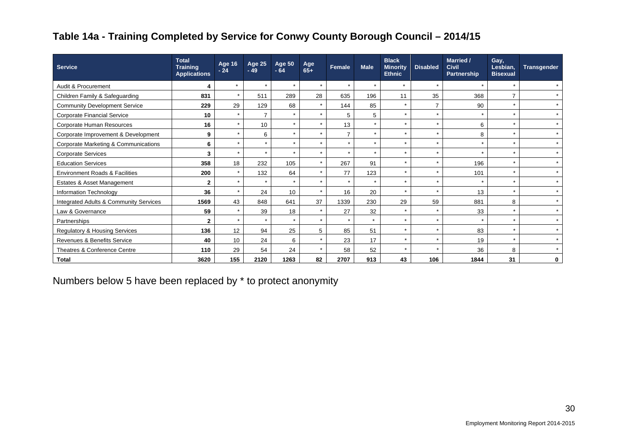# **Table 14a - Training Completed by Service for Conwy County Borough Council – 2014/15**

| <b>Service</b>                                  | <b>Total</b><br><b>Training</b><br><b>Applications</b> | Age 16<br>$-24$ | <b>Age 25</b><br>$-49$ | <b>Age 50</b><br>$-64$ | Age<br>65+ | Female         | <b>Male</b> | <b>Black</b><br><b>Minority</b><br><b>Ethnic</b> | <b>Disabled</b> | Married /<br><b>Civil</b><br><b>Partnership</b> | Gay,<br>Lesbian.<br><b>Bisexual</b> | <b>Transgender</b> |
|-------------------------------------------------|--------------------------------------------------------|-----------------|------------------------|------------------------|------------|----------------|-------------|--------------------------------------------------|-----------------|-------------------------------------------------|-------------------------------------|--------------------|
| Audit & Procurement                             | 4                                                      | $\star$         | $\star$                | $\star$                | $\star$    | $\star$        | $\star$     | $\star$                                          | $\star$         | $\star$                                         |                                     | $\star$            |
| Children Family & Safeguarding                  | 831                                                    | $\star$         | 511                    | 289                    | 28         | 635            | 196         | 11                                               | 35              | 368                                             | $\overline{7}$                      | $\star$            |
| <b>Community Development Service</b>            | 229                                                    | 29              | 129                    | 68                     | $\star$    | 144            | 85          | $\star$                                          | $\overline{7}$  | 90                                              | $\star$                             | $\star$            |
| <b>Corporate Financial Service</b>              | 10                                                     | $\star$         | $\overline{7}$         | $\star$                | $\star$    | 5              | 5           | $\star$                                          | $\star$         | $\star$                                         | $\star$                             | $\star$            |
| Corporate Human Resources                       | 16                                                     | $\star$         | 10                     | $\star$                | $\star$    | 13             | $\star$     | $\star$                                          | $\star$         | 6                                               | $\star$                             | $\star$            |
| Corporate Improvement & Development             | 9                                                      | $\star$         | 6                      | $\star$                | $\star$    | $\overline{7}$ | $\star$     | $\star$                                          | $\star$         | 8                                               | $\star$                             | $\star$            |
| <b>Corporate Marketing &amp; Communications</b> | 6                                                      | $\star$         | $\star$                | $\star$                | $\star$    | $\star$        | $\star$     | $\star$                                          | $\star$         |                                                 | $\star$                             | $\star$            |
| <b>Corporate Services</b>                       | 3                                                      | $\star$         | $\star$                | $\star$                | $\star$    | $\star$        | $\star$     | $\star$                                          | $\star$         | $\star$                                         | $\star$                             | $\star$            |
| <b>Education Services</b>                       | 358                                                    | 18              | 232                    | 105                    | $\star$    | 267            | 91          | $\star$                                          | $\star$         | 196                                             | $\star$                             | $\star$            |
| <b>Environment Roads &amp; Facilities</b>       | 200                                                    | $\star$         | 132                    | 64                     | $\star$    | 77             | 123         | $\star$                                          | $\star$         | 101                                             | $\star$                             | $\star$            |
| Estates & Asset Management                      | $\mathbf{2}$                                           | $\star$         | ٠                      | $\star$                | $\star$    | $\star$        | $\star$     | $\star$                                          | $\star$         | $\star$                                         | $\star$                             | $\star$            |
| Information Technology                          | 36                                                     | $\star$         | 24                     | 10                     | $\star$    | 16             | 20          |                                                  | $\star$         | 13                                              | $\star$                             | $\star$            |
| Integrated Adults & Community Services          | 1569                                                   | 43              | 848                    | 641                    | 37         | 1339           | 230         | 29                                               | 59              | 881                                             | 8                                   | $\star$            |
| Law & Governance                                | 59                                                     | $\star$         | 39                     | 18                     | $\star$    | 27             | 32          | $\star$                                          | $\star$         | 33                                              | $\star$                             | $\star$            |
| Partnerships                                    | $\overline{2}$                                         | $\star$         | $\star$                | $\star$                | $\star$    | $\star$        | $\star$     | $\star$                                          | $\star$         | $\star$                                         | $\star$                             | $\star$            |
| <b>Regulatory &amp; Housing Services</b>        | 136                                                    | 12              | 94                     | 25                     | 5          | 85             | 51          | $\star$                                          | $\star$         | 83                                              | $\star$                             | $\star$            |
| <b>Revenues &amp; Benefits Service</b>          | 40                                                     | 10              | 24                     | 6                      | $\star$    | 23             | 17          | $\star$                                          | $\star$         | 19                                              | $\star$                             | $\star$            |
| Theatres & Conference Centre                    | 110                                                    | 29              | 54                     | 24                     | $\star$    | 58             | 52          |                                                  | $\star$         | 36                                              | 8                                   | $\star$            |
| <b>Total</b>                                    | 3620                                                   | 155             | 2120                   | 1263                   | 82         | 2707           | 913         | 43                                               | 106             | 1844                                            | 31                                  | 0                  |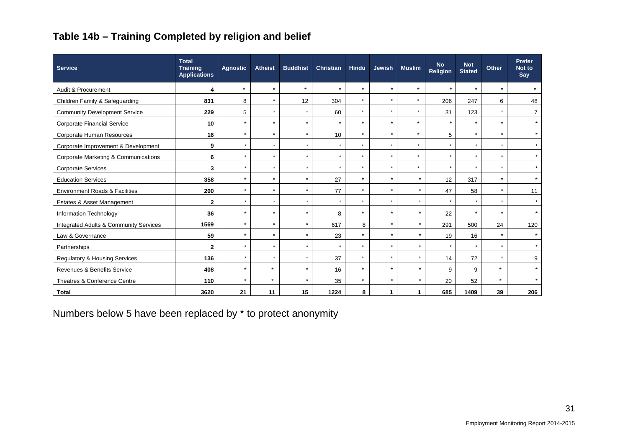# **Table 14b – Training Completed by religion and belief**

| <b>Service</b>                                  | <b>Total</b><br><b>Training</b><br><b>Applications</b> | <b>Agnostic</b> | <b>Atheist</b> | <b>Buddhist</b> | <b>Christian</b> | <b>Hindu</b> | <b>Jewish</b> | <b>Muslim</b> | <b>No</b><br>Religion | <b>Not</b><br><b>Stated</b> | <b>Other</b> | Prefer<br>Not to<br>Say |
|-------------------------------------------------|--------------------------------------------------------|-----------------|----------------|-----------------|------------------|--------------|---------------|---------------|-----------------------|-----------------------------|--------------|-------------------------|
| Audit & Procurement                             | 4                                                      | $\star$         | $\star$        | $\star$         | $\star$          | $\star$      | $\star$       | $\star$       | $\star$               | $\star$                     | $\star$      | $\star$                 |
| Children Family & Safeguarding                  | 831                                                    | 8               | $\star$        | 12              | 304              | $\star$      | $\star$       | $\star$       | 206                   | 247                         | 6            | 48                      |
| <b>Community Development Service</b>            | 229                                                    | 5               | $\star$        | $\star$         | 60               | $\star$      | $\star$       | $\star$       | 31                    | 123                         | $\star$      | $\overline{7}$          |
| <b>Corporate Financial Service</b>              | 10                                                     | $\star$         | $\star$        | $\star$         | $\star$          | $\star$      | $\star$       | $\star$       | $\star$               | $\star$                     | $\star$      | $\star$                 |
| <b>Corporate Human Resources</b>                | 16                                                     | $\star$         | $\star$        | $\star$         | 10               | $\star$      | $\star$       | $\star$       | 5                     | $\star$                     | $\star$      |                         |
| Corporate Improvement & Development             | 9                                                      | $\star$         | $\star$        | $\star$         | $\star$          | $\star$      | $\star$       | $\star$       | $\star$               | $\star$                     | $\star$      | $\star$                 |
| <b>Corporate Marketing &amp; Communications</b> | 6                                                      | $\star$         | $\star$        | $\star$         | $\star$          | $\star$      | $\star$       | $\star$       | $\star$               | $\star$                     | $\star$      | $\star$                 |
| <b>Corporate Services</b>                       | 3                                                      | $\star$         | $\star$        | $\star$         | $\star$          | $\star$      | $\star$       | $\star$       | $\star$               | $\star$                     | $\star$      | $\star$                 |
| <b>Education Services</b>                       | 358                                                    | $\star$         | $\star$        | $\star$         | 27               | $\star$      | $\star$       | $\star$       | 12                    | 317                         | $\star$      | $\star$                 |
| <b>Environment Roads &amp; Facilities</b>       | 200                                                    | $\star$         | $\star$        | $\star$         | 77               | $\star$      | $\star$       | $\star$       | 47                    | 58                          | $\star$      | 11                      |
| Estates & Asset Management                      | $\mathbf{2}$                                           | $\star$         | $\star$        | $\star$         | $\star$          | $\star$      | $\star$       | $\star$       | $\star$               | $\star$                     | $\star$      | $\star$                 |
| Information Technology                          | 36                                                     | $\star$         | $\star$        | $\star$         | 8                | $\star$      | $\star$       | $\star$       | 22                    | $\star$                     | $\star$      | $\star$                 |
| Integrated Adults & Community Services          | 1569                                                   | $\star$         | $\star$        | $\star$         | 617              | 8            | $\star$       | $\star$       | 291                   | 500                         | 24           | 120                     |
| Law & Governance                                | 59                                                     | $\star$         | $\star$        | $\star$         | 23               | $\star$      | $\star$       | $\star$       | 19                    | 16                          | $\star$      |                         |
| Partnerships                                    | $\mathbf{2}$                                           | $\star$         | $\star$        | $\star$         | $\star$          | $\star$      | $\star$       | $\star$       | $\star$               | $\star$                     | $\star$      | $\star$                 |
| <b>Regulatory &amp; Housing Services</b>        | 136                                                    | $\star$         | $\star$        | $\star$         | 37               | $\star$      | $\star$       | $\star$       | 14                    | 72                          | $\star$      | 9                       |
| Revenues & Benefits Service                     | 408                                                    | $\star$         | $\star$        | $\star$         | 16               | $\star$      | $\star$       | $\star$       | 9                     | 9                           | $\star$      | $\star$                 |
| Theatres & Conference Centre                    | 110                                                    | $\star$         | $\star$        | $\star$         | 35               | $\star$      | $\star$       | $\star$       | 20                    | 52                          | $\star$      | $\star$                 |
| <b>Total</b>                                    | 3620                                                   | 21              | 11             | 15              | 1224             | 8            | 1.            |               | 685                   | 1409                        | 39           | 206                     |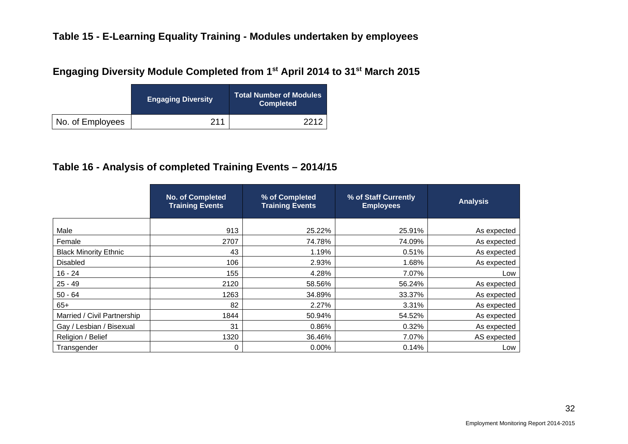**Engaging Diversity Module Completed from 1st April 2014 to 31st March 2015** 

|                  | <b>Engaging Diversity</b> | Total Number of Modules<br><b>Completed</b> |
|------------------|---------------------------|---------------------------------------------|
| No. of Employees | 211                       | つつ1つ                                        |

#### **Table 16 - Analysis of completed Training Events – 2014/15**

|                              | <b>No. of Completed</b><br><b>Training Events</b> | % of Completed<br><b>Training Events</b> | % of Staff Currently<br><b>Employees</b> | <b>Analysis</b> |
|------------------------------|---------------------------------------------------|------------------------------------------|------------------------------------------|-----------------|
| Male                         | 913                                               | 25.22%                                   | 25.91%                                   | As expected     |
| Female                       | 2707                                              | 74.78%                                   | 74.09%                                   | As expected     |
| <b>Black Minority Ethnic</b> | 43                                                | 1.19%                                    | 0.51%                                    | As expected     |
| <b>Disabled</b>              | 106                                               | 2.93%                                    | 1.68%                                    | As expected     |
| $16 - 24$                    | 155                                               | 4.28%                                    | 7.07%                                    | Low             |
| $25 - 49$                    | 2120                                              | 58.56%                                   | 56.24%                                   | As expected     |
| $50 - 64$                    | 1263                                              | 34.89%                                   | 33.37%                                   | As expected     |
| $65+$                        | 82                                                | 2.27%                                    | 3.31%                                    | As expected     |
| Married / Civil Partnership  | 1844                                              | 50.94%                                   | 54.52%                                   | As expected     |
| Gay / Lesbian / Bisexual     | 31                                                | 0.86%                                    | 0.32%                                    | As expected     |
| Religion / Belief            | 1320                                              | 36.46%                                   | 7.07%                                    | AS expected     |
| Transgender                  | 0                                                 | $0.00\%$                                 | 0.14%                                    | Low             |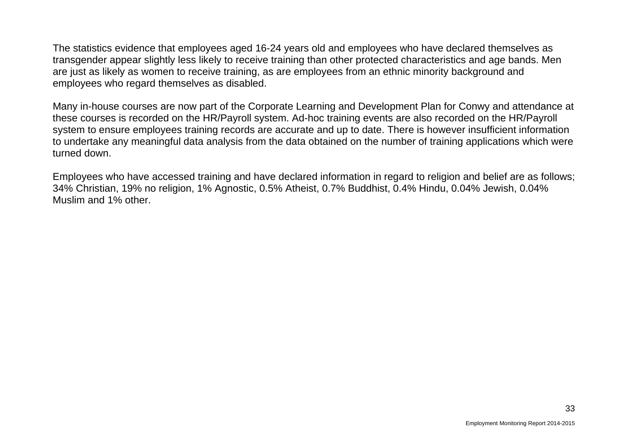The statistics evidence that employees aged 16-24 years old and employees who have declared themselves as transgender appear slightly less likely to receive training than other protected characteristics and age bands. Men are just as likely as women to receive training, as are employees from an ethnic minority background and employees who regard themselves as disabled.

Many in-house courses are now part of the Corporate Learning and Development Plan for Conwy and attendance at these courses is recorded on the HR/Payroll system. Ad-hoc training events are also recorded on the HR/Payroll system to ensure employees training records are accurate and up to date. There is however insufficient information to undertake any meaningful data analysis from the data obtained on the number of training applications which were turned down.

Employees who have accessed training and have declared information in regard to religion and belief are as follows; 34% Christian, 19% no religion, 1% Agnostic, 0.5% Atheist, 0.7% Buddhist, 0.4% Hindu, 0.04% Jewish, 0.04% Muslim and 1% other.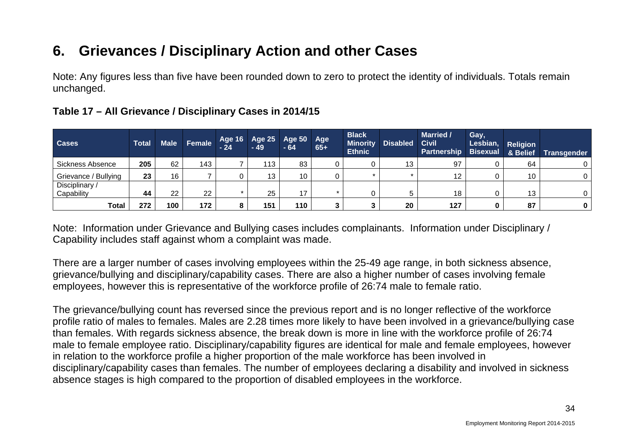# **6. Grievances / Disciplinary Action and other Cases**

Note: Any figures less than five have been rounded down to zero to protect the identity of individuals. Totals remain unchanged.

| <b>Cases</b>                 | <b>Total</b> | <b>Male</b> | Female | $-24$ | Age 16 Age 25<br>$-49$ | <b>Age 50</b><br>$-64$ | Age<br>$65 +$ | <b>Black</b><br><b>Minority</b><br><b>Ethnic</b> | <b>Disabled</b> | <b>Married /</b><br><b>Civil</b><br><b>Partnership</b> | Gay,<br>Lesbian,<br>Bisexual & Belief | <b>Religion</b> | Transgender |
|------------------------------|--------------|-------------|--------|-------|------------------------|------------------------|---------------|--------------------------------------------------|-----------------|--------------------------------------------------------|---------------------------------------|-----------------|-------------|
| <b>Sickness Absence</b>      | 205          | 62          | 143    |       | 113                    | 83                     |               |                                                  | 13              | 97                                                     |                                       | 64              |             |
| Grievance / Bullying         | 23           | 16          |        |       | 13                     | 10                     |               |                                                  |                 | 12                                                     |                                       | 10              |             |
| Disciplinary /<br>Capability | 44           | 22          | 22     |       | 25                     | 17                     |               |                                                  |                 | 18                                                     |                                       | 13              |             |
| Total                        | 272          | 100         | 172    |       | 151                    | 110                    |               |                                                  | 20              | 127                                                    |                                       | 87              |             |

## **Table 17 – All Grievance / Disciplinary Cases in 2014/15**

Note: Information under Grievance and Bullying cases includes complainants. Information under Disciplinary / Capability includes staff against whom a complaint was made.

There are a larger number of cases involving employees within the 25-49 age range, in both sickness absence, grievance/bullying and disciplinary/capability cases. There are also a higher number of cases involving female employees, however this is representative of the workforce profile of 26:74 male to female ratio.

The grievance/bullying count has reversed since the previous report and is no longer reflective of the workforce profile ratio of males to females. Males are 2.28 times more likely to have been involved in a grievance/bullying case than females. With regards sickness absence, the break down is more in line with the workforce profile of 26:74 male to female employee ratio. Disciplinary/capability figures are identical for male and female employees, however in relation to the workforce profile a higher proportion of the male workforce has been involved in disciplinary/capability cases than females. The number of employees declaring a disability and involved in sickness absence stages is high compared to the proportion of disabled employees in the workforce.

34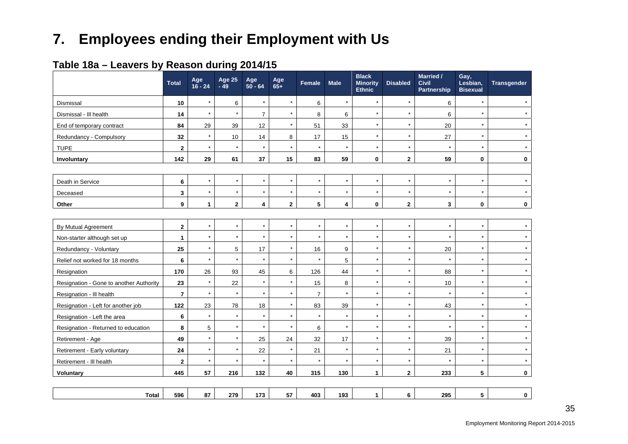# **7. Employees ending their Employment with Us**

|                                         | <b>Total</b>            | Age<br>$16 - 24$ | Age 25<br>$-49$ | Age<br>$50 - 64$ | Age<br>65+     | <b>Female</b>  | <b>Male</b> | <b>Black</b><br><b>Minority</b><br><b>Ethnic</b> | <b>Disabled</b> | Married /<br><b>Civil</b><br>Partnership | Gay,<br>Lesbian,<br><b>Bisexual</b> | <b>Transgender</b> |
|-----------------------------------------|-------------------------|------------------|-----------------|------------------|----------------|----------------|-------------|--------------------------------------------------|-----------------|------------------------------------------|-------------------------------------|--------------------|
| Dismissal                               | 10                      | $\star$          | 6               | $\star$          | $\star$        | 6              | $\star$     | $\star$                                          | $\star$         | 6                                        | $\star$                             | $\star$            |
| Dismissal - Ill health                  | 14                      | $\star$          | $\star$         | $\overline{7}$   |                | 8              | 6           | $\star$                                          |                 | 6                                        | $\star$                             |                    |
| End of temporary contract               | 84                      | 29               | 39              | 12               | $\star$        | 51             | 33          | $\star$                                          |                 | 20                                       | $\star$                             | $\star$            |
| Redundancy - Compulsory                 | 32                      | $\star$          | 10              | 14               | 8              | 17             | 15          | $\star$                                          | $\star$         | 27                                       | $\star$                             | $\star$            |
| <b>TUPE</b>                             | $\mathbf{2}$            | $\star$          | $\star$         | $\star$          | $\star$        | $\star$        | $\star$     | $\star$                                          | $\star$         | $\star$                                  | $\star$                             | $\star$            |
| Involuntary                             | 142                     | 29               | 61              | $37\,$           | 15             | 83             | 59          | $\mathbf 0$                                      | $\mathbf{2}$    | 59                                       | $\mathbf 0$                         | $\mathbf 0$        |
|                                         |                         |                  |                 |                  |                |                |             |                                                  |                 |                                          |                                     |                    |
| Death in Service                        | 6                       | $\star$          | $\star$         | $\star$          | $\star$        | $\star$        | $\star$     | $\star$                                          | $\star$         | $\star$                                  | $\star$                             | $\star$            |
| Deceased                                | 3                       | $\star$          | $\pm$           | $\star$          | $\star$        | $\star$        | $\star$     | $\star$                                          | $\star$         | $\star$                                  | $\star$                             | $\star$            |
| Other                                   | 9                       | $\mathbf{1}$     | $\mathbf{2}$    | 4                | $\overline{2}$ | 5              | 4           | $\mathbf 0$                                      | $\overline{2}$  | 3                                        | $\mathbf{0}$                        | $\mathbf 0$        |
|                                         |                         |                  |                 |                  |                |                |             |                                                  |                 |                                          |                                     |                    |
| By Mutual Agreement                     | $\mathbf{2}$            | $\star$          | $\star$         | $\star$          | $\star$        |                | $\star$     | $\star$                                          | $\star$         | $\star$                                  | $\star$                             | $\star$            |
| Non-starter although set up             | $\mathbf{1}$            | $\star$          | $\star$         | $\star$          |                | $\star$        | $\star$     | $\star$                                          | $\star$         | $\star$                                  | $\star$                             | $\star$            |
| Redundancy - Voluntary                  | 25                      | $\star$          | 5               | 17               | $^\star$       | 16             | 9           | $\star$                                          | $\star$         | 20                                       | $\star$                             | $\star$            |
| Relief not worked for 18 months         | 6                       | $\star$          | $\star$         | $\star$          | $\star$        | $\star$        | 5           | $\star$                                          | $\star$         | $\star$                                  | $\star$                             | $\star$            |
| Resignation                             | 170                     | 26               | 93              | 45               | 6              | 126            | 44          | $\star$                                          | $\star$         | 88                                       | $\star$                             | $\star$            |
| Resignation - Gone to another Authority | 23                      | $\star$          | 22              | $\star$          |                | 15             | 8           | $\star$                                          | $\star$         | 10                                       | $\star$                             | $\star$            |
| Resignation - Ill health                | $\overline{\mathbf{7}}$ | $\star$          | $\star$         | $\star$          | $\star$        | $\overline{7}$ | $\star$     | $\star$                                          | $\star$         |                                          | $\star$                             | $\star$            |
| Resignation - Left for another job      | 122                     | 23               | 78              | 18               | $\star$        | 83             | 39          | $\star$                                          | $\star$         | 43                                       | $\star$                             | $\star$            |
| Resignation - Left the area             | 6                       | $\star$          | $\star$         | $\star$          | $\star$        | $\star$        | $\star$     | $\star$                                          | $\star$         | $\star$                                  | $\star$                             | $\star$            |
| Resignation - Returned to education     | 8                       | 5                | $\star$         | $\star$          | $\star$        | 6              | $\star$     | $\star$                                          | $\star$         | $\star$                                  | $\star$                             | $\star$            |
| Retirement - Age                        | 49                      | $\star$          | $\star$         | 25               | 24             | 32             | 17          | $\star$                                          | $\star$         | 39                                       | $^\star$                            | $\star$            |
| Retirement - Early voluntary            | ${\bf 24}$              | $\star$          | $\star$         | 22               | $\star$        | 21             | $\star$     | $\star$                                          | $\star$         | 21                                       | $\star$                             | $\star$            |
| Retirement - Ill health                 | $\mathbf{2}$            | $\star$          | $\star$         | $\star$          | $\star$        | $\star$        | $\star$     | $\star$                                          | $\star$         | $\star$                                  | $\star$                             | $\star$            |
| Voluntary                               | 445                     | 57               | 216             | 132              | 40             | 315            | 130         | $\mathbf{1}$                                     | $\mathbf{2}$    | 233                                      | 5                                   | $\mathbf 0$        |
| Total                                   | 596                     | 87               | 279             | 173              | 57             | 403            | 193         | $\mathbf{1}$                                     | 6               | 295                                      | 5                                   | $\Omega$           |

## **Table 18a – Leavers by Reason during 2014/15**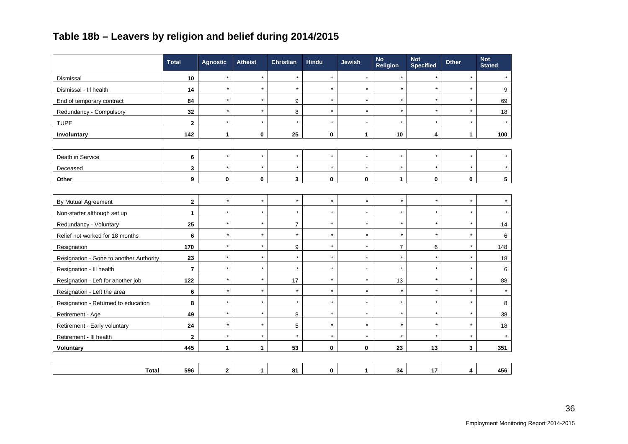# **Table 18b – Leavers by religion and belief during 2014/2015**

|                                         | <b>Total</b>   | <b>Agnostic</b> | <b>Atheist</b> | <b>Christian</b> | <b>Hindu</b> | <b>Jewish</b> | <b>No</b><br><b>Religion</b> | <b>Not</b><br><b>Specified</b> | <b>Other</b> | <b>Not</b><br><b>Stated</b> |
|-----------------------------------------|----------------|-----------------|----------------|------------------|--------------|---------------|------------------------------|--------------------------------|--------------|-----------------------------|
| Dismissal                               | 10             | $\star$         | $\star$        | $\star$          | $\star$      | $\star$       | $\star$                      | $\star$                        | $\star$      | $\star$                     |
| Dismissal - III health                  | 14             | $\star$         | $\star$        | $\star$          | $\star$      | $\star$       | $\star$                      | $\star$                        | $\star$      | 9                           |
| End of temporary contract               | 84             | $\star$         | $\star$        | 9                | $\star$      | $\star$       | $\star$                      | $\star$                        | $\star$      | 69                          |
| Redundancy - Compulsory                 | 32             | $\star$         | $\star$        | 8                | $\star$      | $\star$       | $\star$                      | $\star$                        | $\star$      | 18                          |
| <b>TUPE</b>                             | $\mathbf 2$    | $\star$         | $\star$        | $\star$          | $\star$      | $\star$       | $\star$                      | $\star$                        | $\star$      | $^\star$                    |
| Involuntary                             | 142            | 1               | $\mathbf 0$    | 25               | 0            | $\mathbf{1}$  | 10                           | 4                              | $\mathbf{1}$ | 100                         |
|                                         |                |                 |                |                  |              |               |                              |                                |              |                             |
| Death in Service                        | 6              | $\star$         | $\star$        | $\star$          | $\star$      | $\star$       | $\star$                      | $\star$                        | $\star$      | $\star$                     |
| Deceased                                | 3              | $\star$         | $\star$        | $\star$          | $\star$      | $\star$       | $\star$                      | $\star$                        | $\star$      | $\star$                     |
| Other                                   | 9              | $\mathbf{0}$    | $\bf{0}$       | 3                | 0            | $\bf{0}$      | $\mathbf{1}$                 | 0                              | 0            | 5                           |
|                                         |                |                 |                |                  |              |               |                              |                                |              |                             |
| By Mutual Agreement                     | $\mathbf{2}$   | $\star$         | $\star$        | $\star$          | $\star$      | $\star$       | $\star$                      | $^\star$                       | $\star$      | $\star$                     |
| Non-starter although set up             | $\mathbf{1}$   | $\star$         | $\star$        | $\star$          | $\star$      | $\star$       | $\star$                      | $\star$                        | $\star$      | $\star$                     |
| Redundancy - Voluntary                  | 25             | $\star$         | $\star$        | $\overline{7}$   | $\star$      | $\star$       | $\star$                      | $\star$                        | $\star$      | 14                          |
| Relief not worked for 18 months         | 6              | $\star$         | $\star$        | $\star$          | $\star$      | $\star$       | $\star$                      | $\star$                        | $\star$      | 6                           |
| Resignation                             | 170            | $\star$         | $\star$        | 9                | $\star$      | $\star$       | $\overline{7}$               | 6                              | $\star$      | 148                         |
| Resignation - Gone to another Authority | 23             | $\star$         | $\star$        | $\star$          | $\star$      | $\star$       | $\star$                      | $\star$                        | $\star$      | 18                          |
| Resignation - Ill health                | $\overline{7}$ | $\star$         | $\star$        | $\star$          | $\star$      | $\star$       | $\star$                      | $\star$                        | $\star$      | 6                           |
| Resignation - Left for another job      | 122            | $\star$         | $\star$        | 17               | $\star$      | $\star$       | 13                           | $\star$                        | $\star$      | 88                          |
| Resignation - Left the area             | 6              | $\star$         | $\star$        | $\star$          | $\star$      | $\star$       | $\star$                      | $\star$                        | $\star$      | $\star$                     |
| Resignation - Returned to education     | 8              | $\star$         | $\star$        | $\star$          | $\star$      | $\star$       | $\star$                      | $\star$                        | $\star$      | 8                           |
| Retirement - Age                        | 49             | $\star$         | $\star$        | 8                | $\star$      | $\star$       | $\star$                      | $\star$                        | $\star$      | 38                          |
| Retirement - Early voluntary            | 24             | $\star$         | $\star$        | 5                | $\star$      | $\star$       | $\star$                      | $\star$                        | $\star$      | 18                          |
| Retirement - III health                 | $\overline{2}$ | $\star$         | $\star$        | $\star$          | $\star$      | $\star$       | $\star$                      | $\star$                        | $\star$      | $^\star$                    |
| Voluntary                               | 445            | 1               | $\mathbf{1}$   | 53               | 0            | $\bf{0}$      | 23                           | 13                             | 3            | 351                         |
|                                         |                |                 |                |                  |              |               |                              |                                |              |                             |
| <b>Total</b>                            | 596            | $\mathbf{2}$    | 1              | 81               | 0            | $\mathbf{1}$  | 34                           | 17                             | 4            | 456                         |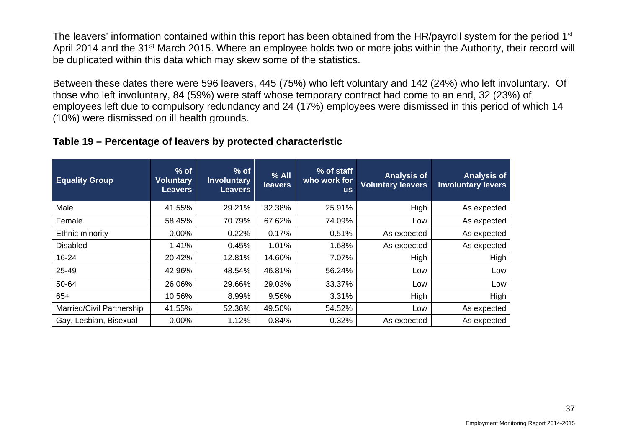The leavers' information contained within this report has been obtained from the HR/payroll system for the period 1<sup>st</sup> April 2014 and the 31<sup>st</sup> March 2015. Where an employee holds two or more jobs within the Authority, their record will be duplicated within this data which may skew some of the statistics.

Between these dates there were 596 leavers, 445 (75%) who left voluntary and 142 (24%) who left involuntary. Of those who left involuntary, 84 (59%) were staff whose temporary contract had come to an end, 32 (23%) of employees left due to compulsory redundancy and 24 (17%) employees were dismissed in this period of which 14 (10%) were dismissed on ill health grounds.

#### **Table 19 – Percentage of leavers by protected characteristic**

| <b>Equality Group</b>     | $%$ of<br><b>Voluntary</b><br><b>Leavers</b> | $%$ of<br><b>Involuntary</b><br><b>Leavers</b> | $%$ All<br>leavers | % of staff<br>who work for<br><b>us</b> | <b>Analysis of</b><br><b>Voluntary leavers</b> | <b>Analysis of</b><br><b>Involuntary levers</b> |
|---------------------------|----------------------------------------------|------------------------------------------------|--------------------|-----------------------------------------|------------------------------------------------|-------------------------------------------------|
| Male                      | 41.55%                                       | 29.21%                                         | 32.38%             | 25.91%                                  | High                                           | As expected                                     |
| Female                    | 58.45%                                       | 70.79%                                         | 67.62%             | 74.09%                                  | Low                                            | As expected                                     |
| Ethnic minority           | 0.00%                                        | 0.22%                                          | 0.17%              | 0.51%                                   | As expected                                    | As expected                                     |
| <b>Disabled</b>           | 1.41%                                        | 0.45%                                          | 1.01%              | 1.68%                                   | As expected                                    | As expected                                     |
| 16-24                     | 20.42%                                       | 12.81%                                         | 14.60%             | 7.07%                                   | High                                           | High                                            |
| 25-49                     | 42.96%                                       | 48.54%                                         | 46.81%             | 56.24%                                  | Low                                            | Low                                             |
| 50-64                     | 26.06%                                       | 29.66%                                         | 29.03%             | 33.37%                                  | Low                                            | Low                                             |
| $65+$                     | 10.56%                                       | 8.99%                                          | 9.56%              | 3.31%                                   | High                                           | High                                            |
| Married/Civil Partnership | 41.55%                                       | 52.36%                                         | 49.50%             | 54.52%                                  | Low                                            | As expected                                     |
| Gay, Lesbian, Bisexual    | $0.00\%$                                     | 1.12%                                          | 0.84%              | 0.32%                                   | As expected                                    | As expected                                     |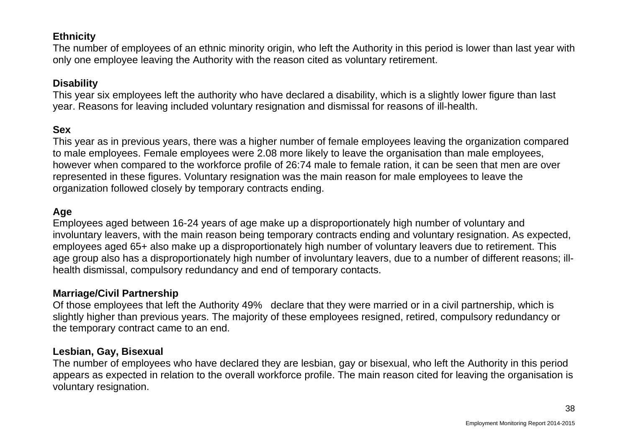#### **Ethnicity**

The number of employees of an ethnic minority origin, who left the Authority in this period is lower than last year with only one employee leaving the Authority with the reason cited as voluntary retirement.

#### **Disability**

This year six employees left the authority who have declared a disability, which is a slightly lower figure than last year. Reasons for leaving included voluntary resignation and dismissal for reasons of ill-health.

#### **Sex**

This year as in previous years, there was a higher number of female employees leaving the organization compared to male employees. Female employees were 2.08 more likely to leave the organisation than male employees, however when compared to the workforce profile of 26:74 male to female ration, it can be seen that men are over represented in these figures. Voluntary resignation was the main reason for male employees to leave the organization followed closely by temporary contracts ending.

#### **Age**

Employees aged between 16-24 years of age make up a disproportionately high number of voluntary and involuntary leavers, with the main reason being temporary contracts ending and voluntary resignation. As expected, employees aged 65+ also make up a disproportionately high number of voluntary leavers due to retirement. This age group also has a disproportionately high number of involuntary leavers, due to a number of different reasons; illhealth dismissal, compulsory redundancy and end of temporary contacts.

#### **Marriage/Civil Partnership**

Of those employees that left the Authority 49% declare that they were married or in a civil partnership, which is slightly higher than previous years. The majority of these employees resigned, retired, compulsory redundancy or the temporary contract came to an end.

#### **Lesbian, Gay, Bisexual**

The number of employees who have declared they are lesbian, gay or bisexual, who left the Authority in this period appears as expected in relation to the overall workforce profile. The main reason cited for leaving the organisation is voluntary resignation.